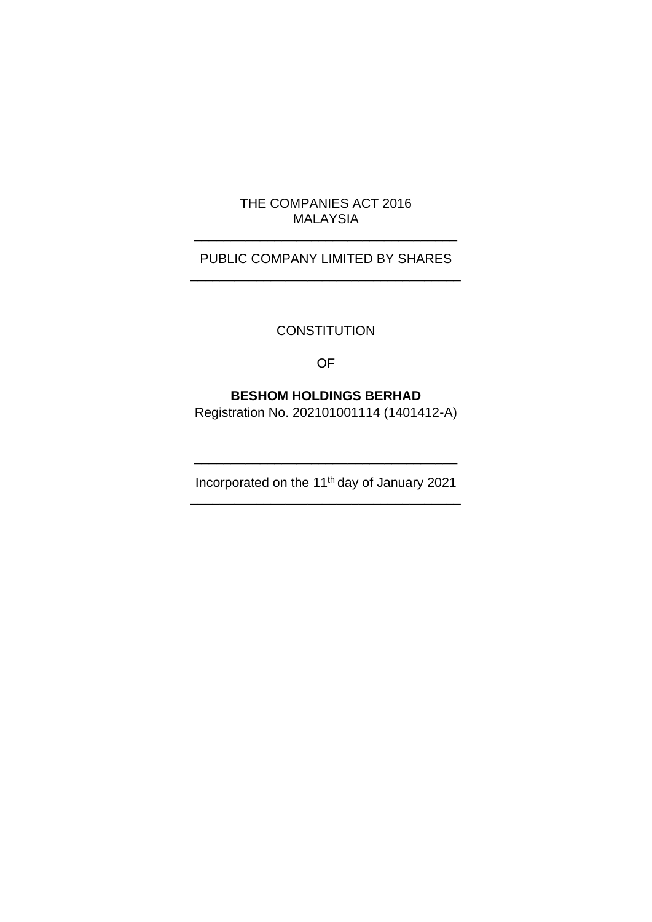# THE COMPANIES ACT 2016 MALAYSIA

\_\_\_\_\_\_\_\_\_\_\_\_\_\_\_\_\_\_\_\_\_\_\_\_\_\_\_\_\_\_\_\_\_\_\_\_

# PUBLIC COMPANY LIMITED BY SHARES \_\_\_\_\_\_\_\_\_\_\_\_\_\_\_\_\_\_\_\_\_\_\_\_\_\_\_\_\_\_\_\_\_\_\_\_\_

# **CONSTITUTION**

OF

# **BESHOM HOLDINGS BERHAD**

Registration No. 202101001114 (1401412-A)

Incorporated on the 11th day of January 2021 \_\_\_\_\_\_\_\_\_\_\_\_\_\_\_\_\_\_\_\_\_\_\_\_\_\_\_\_\_\_\_\_\_\_\_\_\_

\_\_\_\_\_\_\_\_\_\_\_\_\_\_\_\_\_\_\_\_\_\_\_\_\_\_\_\_\_\_\_\_\_\_\_\_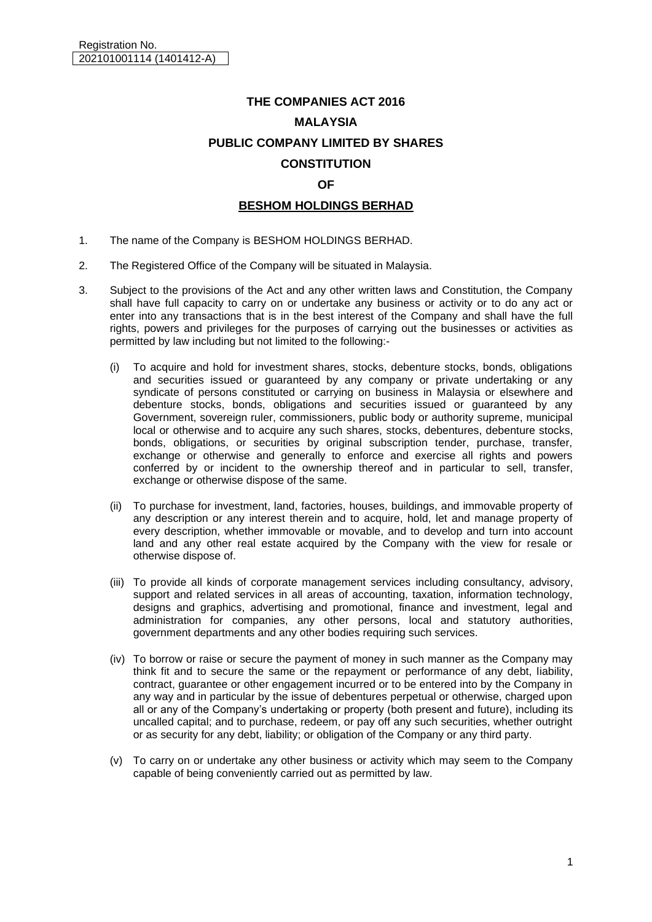# **THE COMPANIES ACT 2016 MALAYSIA PUBLIC COMPANY LIMITED BY SHARES CONSTITUTION OF BESHOM HOLDINGS BERHAD**

- 1. The name of the Company is BESHOM HOLDINGS BERHAD.
- 2. The Registered Office of the Company will be situated in Malaysia.
- 3. Subject to the provisions of the Act and any other written laws and Constitution, the Company shall have full capacity to carry on or undertake any business or activity or to do any act or enter into any transactions that is in the best interest of the Company and shall have the full rights, powers and privileges for the purposes of carrying out the businesses or activities as permitted by law including but not limited to the following:-
	- (i) To acquire and hold for investment shares, stocks, debenture stocks, bonds, obligations and securities issued or guaranteed by any company or private undertaking or any syndicate of persons constituted or carrying on business in Malaysia or elsewhere and debenture stocks, bonds, obligations and securities issued or guaranteed by any Government, sovereign ruler, commissioners, public body or authority supreme, municipal local or otherwise and to acquire any such shares, stocks, debentures, debenture stocks, bonds, obligations, or securities by original subscription tender, purchase, transfer, exchange or otherwise and generally to enforce and exercise all rights and powers conferred by or incident to the ownership thereof and in particular to sell, transfer, exchange or otherwise dispose of the same.
	- (ii) To purchase for investment, land, factories, houses, buildings, and immovable property of any description or any interest therein and to acquire, hold, let and manage property of every description, whether immovable or movable, and to develop and turn into account land and any other real estate acquired by the Company with the view for resale or otherwise dispose of.
	- (iii) To provide all kinds of corporate management services including consultancy, advisory, support and related services in all areas of accounting, taxation, information technology, designs and graphics, advertising and promotional, finance and investment, legal and administration for companies, any other persons, local and statutory authorities, government departments and any other bodies requiring such services.
	- (iv) To borrow or raise or secure the payment of money in such manner as the Company may think fit and to secure the same or the repayment or performance of any debt, liability, contract, guarantee or other engagement incurred or to be entered into by the Company in any way and in particular by the issue of debentures perpetual or otherwise, charged upon all or any of the Company's undertaking or property (both present and future), including its uncalled capital; and to purchase, redeem, or pay off any such securities, whether outright or as security for any debt, liability; or obligation of the Company or any third party.
	- (v) To carry on or undertake any other business or activity which may seem to the Company capable of being conveniently carried out as permitted by law.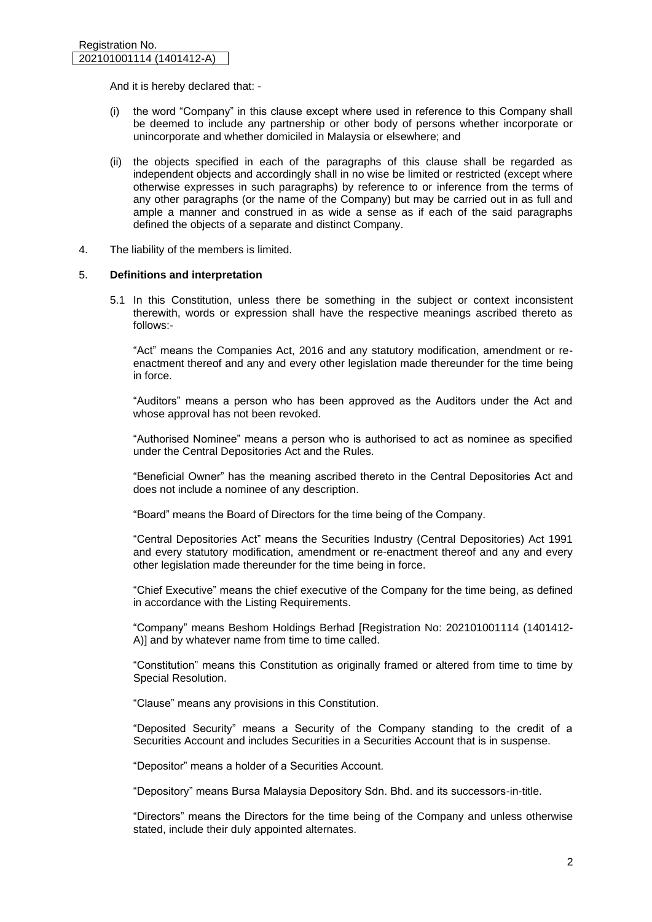And it is hereby declared that: -

- (i) the word "Company" in this clause except where used in reference to this Company shall be deemed to include any partnership or other body of persons whether incorporate or unincorporate and whether domiciled in Malaysia or elsewhere; and
- (ii) the objects specified in each of the paragraphs of this clause shall be regarded as independent objects and accordingly shall in no wise be limited or restricted (except where otherwise expresses in such paragraphs) by reference to or inference from the terms of any other paragraphs (or the name of the Company) but may be carried out in as full and ample a manner and construed in as wide a sense as if each of the said paragraphs defined the objects of a separate and distinct Company.
- 4. The liability of the members is limited.

# 5. **Definitions and interpretation**

5.1 In this Constitution, unless there be something in the subject or context inconsistent therewith, words or expression shall have the respective meanings ascribed thereto as follows:-

"Act" means the Companies Act, 2016 and any statutory modification, amendment or reenactment thereof and any and every other legislation made thereunder for the time being in force.

"Auditors" means a person who has been approved as the Auditors under the Act and whose approval has not been revoked.

"Authorised Nominee" means a person who is authorised to act as nominee as specified under the Central Depositories Act and the Rules.

"Beneficial Owner" has the meaning ascribed thereto in the Central Depositories Act and does not include a nominee of any description.

"Board" means the Board of Directors for the time being of the Company.

"Central Depositories Act" means the Securities Industry (Central Depositories) Act 1991 and every statutory modification, amendment or re-enactment thereof and any and every other legislation made thereunder for the time being in force.

"Chief Executive" means the chief executive of the Company for the time being, as defined in accordance with the Listing Requirements.

"Company" means Beshom Holdings Berhad [Registration No: 202101001114 (1401412- A)] and by whatever name from time to time called.

"Constitution" means this Constitution as originally framed or altered from time to time by Special Resolution.

"Clause" means any provisions in this Constitution.

"Deposited Security" means a Security of the Company standing to the credit of a Securities Account and includes Securities in a Securities Account that is in suspense.

"Depositor" means a holder of a Securities Account.

"Depository" means Bursa Malaysia Depository Sdn. Bhd. and its successors-in-title.

"Directors" means the Directors for the time being of the Company and unless otherwise stated, include their duly appointed alternates.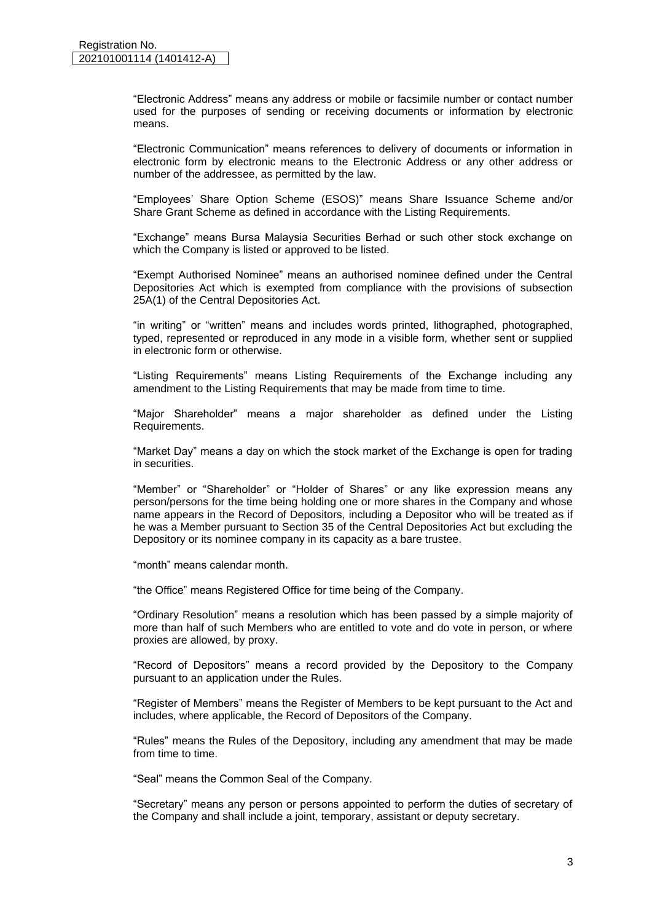"Electronic Address" means any address or mobile or facsimile number or contact number used for the purposes of sending or receiving documents or information by electronic means.

"Electronic Communication" means references to delivery of documents or information in electronic form by electronic means to the Electronic Address or any other address or number of the addressee, as permitted by the law.

"Employees' Share Option Scheme (ESOS)" means Share Issuance Scheme and/or Share Grant Scheme as defined in accordance with the Listing Requirements.

"Exchange" means Bursa Malaysia Securities Berhad or such other stock exchange on which the Company is listed or approved to be listed.

"Exempt Authorised Nominee" means an authorised nominee defined under the Central Depositories Act which is exempted from compliance with the provisions of subsection 25A(1) of the Central Depositories Act.

"in writing" or "written" means and includes words printed, lithographed, photographed, typed, represented or reproduced in any mode in a visible form, whether sent or supplied in electronic form or otherwise.

"Listing Requirements" means Listing Requirements of the Exchange including any amendment to the Listing Requirements that may be made from time to time.

"Major Shareholder" means a major shareholder as defined under the Listing Requirements.

"Market Day" means a day on which the stock market of the Exchange is open for trading in securities.

"Member" or "Shareholder" or "Holder of Shares" or any like expression means any person/persons for the time being holding one or more shares in the Company and whose name appears in the Record of Depositors, including a Depositor who will be treated as if he was a Member pursuant to Section 35 of the Central Depositories Act but excluding the Depository or its nominee company in its capacity as a bare trustee.

"month" means calendar month.

"the Office" means Registered Office for time being of the Company.

"Ordinary Resolution" means a resolution which has been passed by a simple majority of more than half of such Members who are entitled to vote and do vote in person, or where proxies are allowed, by proxy.

"Record of Depositors" means a record provided by the Depository to the Company pursuant to an application under the Rules.

"Register of Members" means the Register of Members to be kept pursuant to the Act and includes, where applicable, the Record of Depositors of the Company.

"Rules" means the Rules of the Depository, including any amendment that may be made from time to time.

"Seal" means the Common Seal of the Company.

"Secretary" means any person or persons appointed to perform the duties of secretary of the Company and shall include a joint, temporary, assistant or deputy secretary.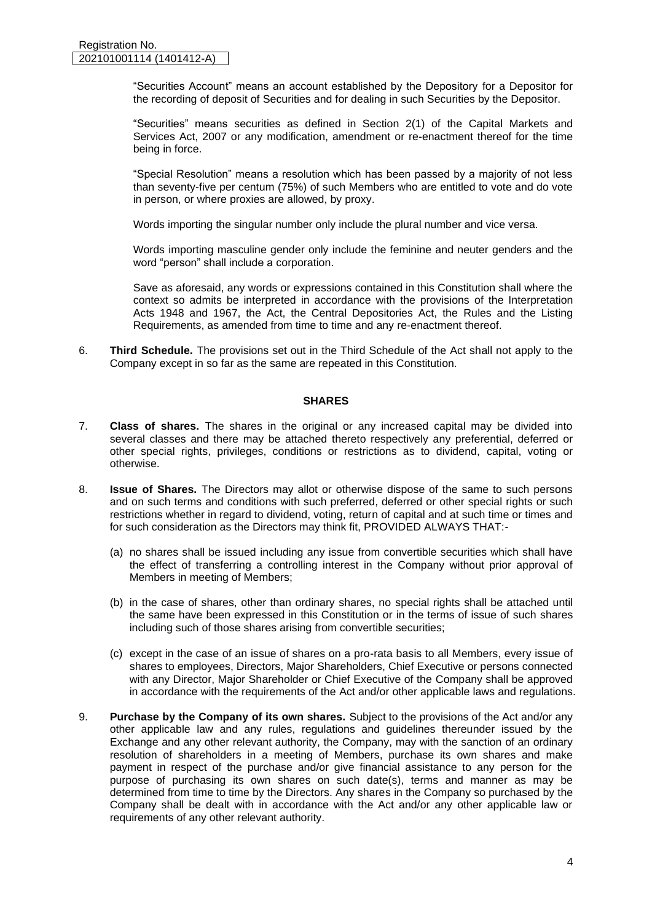"Securities Account" means an account established by the Depository for a Depositor for the recording of deposit of Securities and for dealing in such Securities by the Depositor.

"Securities" means securities as defined in Section 2(1) of the Capital Markets and Services Act, 2007 or any modification, amendment or re-enactment thereof for the time being in force.

"Special Resolution" means a resolution which has been passed by a majority of not less than seventy-five per centum (75%) of such Members who are entitled to vote and do vote in person, or where proxies are allowed, by proxy.

Words importing the singular number only include the plural number and vice versa.

Words importing masculine gender only include the feminine and neuter genders and the word "person" shall include a corporation.

Save as aforesaid, any words or expressions contained in this Constitution shall where the context so admits be interpreted in accordance with the provisions of the Interpretation Acts 1948 and 1967, the Act, the Central Depositories Act, the Rules and the Listing Requirements, as amended from time to time and any re-enactment thereof.

6. **Third Schedule.** The provisions set out in the Third Schedule of the Act shall not apply to the Company except in so far as the same are repeated in this Constitution.

#### **SHARES**

- 7. **Class of shares.** The shares in the original or any increased capital may be divided into several classes and there may be attached thereto respectively any preferential, deferred or other special rights, privileges, conditions or restrictions as to dividend, capital, voting or otherwise.
- 8. **Issue of Shares.** The Directors may allot or otherwise dispose of the same to such persons and on such terms and conditions with such preferred, deferred or other special rights or such restrictions whether in regard to dividend, voting, return of capital and at such time or times and for such consideration as the Directors may think fit, PROVIDED ALWAYS THAT:-
	- (a) no shares shall be issued including any issue from convertible securities which shall have the effect of transferring a controlling interest in the Company without prior approval of Members in meeting of Members;
	- (b) in the case of shares, other than ordinary shares, no special rights shall be attached until the same have been expressed in this Constitution or in the terms of issue of such shares including such of those shares arising from convertible securities;
	- (c) except in the case of an issue of shares on a pro-rata basis to all Members, every issue of shares to employees, Directors, Major Shareholders, Chief Executive or persons connected with any Director, Major Shareholder or Chief Executive of the Company shall be approved in accordance with the requirements of the Act and/or other applicable laws and regulations.
- 9. **Purchase by the Company of its own shares.** Subject to the provisions of the Act and/or any other applicable law and any rules, regulations and guidelines thereunder issued by the Exchange and any other relevant authority, the Company, may with the sanction of an ordinary resolution of shareholders in a meeting of Members, purchase its own shares and make payment in respect of the purchase and/or give financial assistance to any person for the purpose of purchasing its own shares on such date(s), terms and manner as may be determined from time to time by the Directors. Any shares in the Company so purchased by the Company shall be dealt with in accordance with the Act and/or any other applicable law or requirements of any other relevant authority.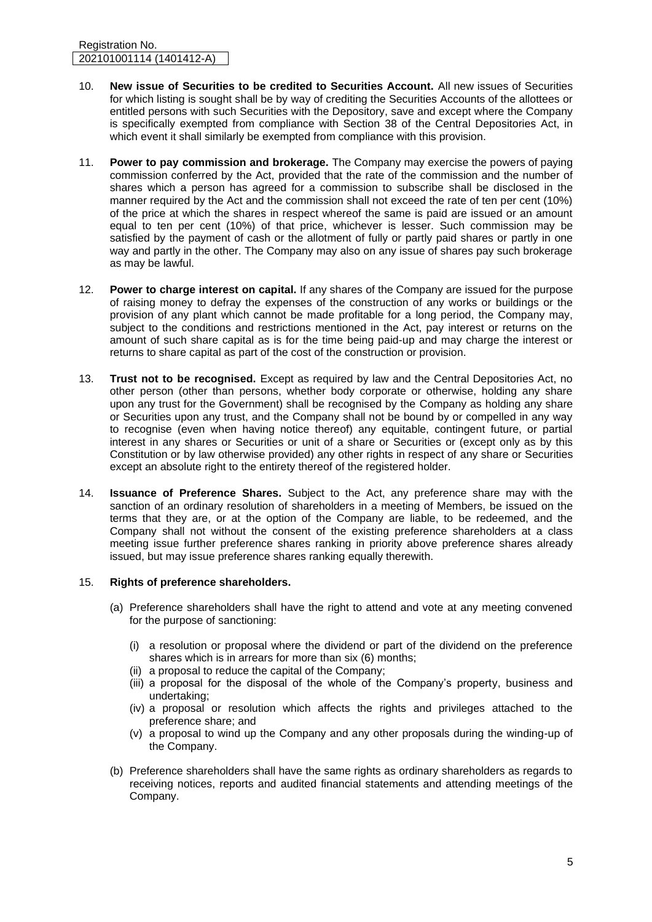- 10. **New issue of Securities to be credited to Securities Account.** All new issues of Securities for which listing is sought shall be by way of crediting the Securities Accounts of the allottees or entitled persons with such Securities with the Depository, save and except where the Company is specifically exempted from compliance with Section 38 of the Central Depositories Act, in which event it shall similarly be exempted from compliance with this provision.
- 11. **Power to pay commission and brokerage.** The Company may exercise the powers of paying commission conferred by the Act, provided that the rate of the commission and the number of shares which a person has agreed for a commission to subscribe shall be disclosed in the manner required by the Act and the commission shall not exceed the rate of ten per cent (10%) of the price at which the shares in respect whereof the same is paid are issued or an amount equal to ten per cent (10%) of that price, whichever is lesser. Such commission may be satisfied by the payment of cash or the allotment of fully or partly paid shares or partly in one way and partly in the other. The Company may also on any issue of shares pay such brokerage as may be lawful.
- 12. **Power to charge interest on capital.** If any shares of the Company are issued for the purpose of raising money to defray the expenses of the construction of any works or buildings or the provision of any plant which cannot be made profitable for a long period, the Company may, subject to the conditions and restrictions mentioned in the Act, pay interest or returns on the amount of such share capital as is for the time being paid-up and may charge the interest or returns to share capital as part of the cost of the construction or provision.
- 13. **Trust not to be recognised.** Except as required by law and the Central Depositories Act, no other person (other than persons, whether body corporate or otherwise, holding any share upon any trust for the Government) shall be recognised by the Company as holding any share or Securities upon any trust, and the Company shall not be bound by or compelled in any way to recognise (even when having notice thereof) any equitable, contingent future, or partial interest in any shares or Securities or unit of a share or Securities or (except only as by this Constitution or by law otherwise provided) any other rights in respect of any share or Securities except an absolute right to the entirety thereof of the registered holder.
- 14. **Issuance of Preference Shares.** Subject to the Act, any preference share may with the sanction of an ordinary resolution of shareholders in a meeting of Members, be issued on the terms that they are, or at the option of the Company are liable, to be redeemed, and the Company shall not without the consent of the existing preference shareholders at a class meeting issue further preference shares ranking in priority above preference shares already issued, but may issue preference shares ranking equally therewith.

# 15. **Rights of preference shareholders.**

- (a) Preference shareholders shall have the right to attend and vote at any meeting convened for the purpose of sanctioning:
	- (i) a resolution or proposal where the dividend or part of the dividend on the preference shares which is in arrears for more than six (6) months;
	- (ii) a proposal to reduce the capital of the Company;
	- (iii) a proposal for the disposal of the whole of the Company's property, business and undertaking;
	- (iv) a proposal or resolution which affects the rights and privileges attached to the preference share; and
	- (v) a proposal to wind up the Company and any other proposals during the winding-up of the Company.
- (b) Preference shareholders shall have the same rights as ordinary shareholders as regards to receiving notices, reports and audited financial statements and attending meetings of the Company.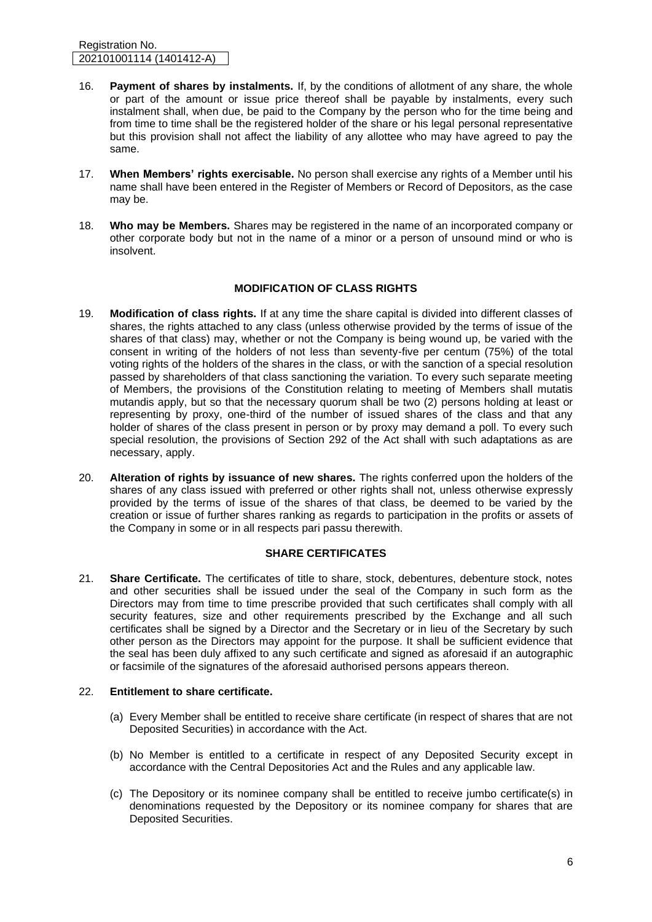Registration No. 202101001114 (1401412-A)

- 16. **Payment of shares by instalments.** If, by the conditions of allotment of any share, the whole or part of the amount or issue price thereof shall be payable by instalments, every such instalment shall, when due, be paid to the Company by the person who for the time being and from time to time shall be the registered holder of the share or his legal personal representative but this provision shall not affect the liability of any allottee who may have agreed to pay the same.
- 17. **When Members' rights exercisable.** No person shall exercise any rights of a Member until his name shall have been entered in the Register of Members or Record of Depositors, as the case may be.
- 18. **Who may be Members.** Shares may be registered in the name of an incorporated company or other corporate body but not in the name of a minor or a person of unsound mind or who is insolvent.

# **MODIFICATION OF CLASS RIGHTS**

- 19. **Modification of class rights.** If at any time the share capital is divided into different classes of shares, the rights attached to any class (unless otherwise provided by the terms of issue of the shares of that class) may, whether or not the Company is being wound up, be varied with the consent in writing of the holders of not less than seventy-five per centum (75%) of the total voting rights of the holders of the shares in the class, or with the sanction of a special resolution passed by shareholders of that class sanctioning the variation. To every such separate meeting of Members, the provisions of the Constitution relating to meeting of Members shall mutatis mutandis apply, but so that the necessary quorum shall be two (2) persons holding at least or representing by proxy, one-third of the number of issued shares of the class and that any holder of shares of the class present in person or by proxy may demand a poll. To every such special resolution, the provisions of Section 292 of the Act shall with such adaptations as are necessary, apply.
- 20. **Alteration of rights by issuance of new shares.** The rights conferred upon the holders of the shares of any class issued with preferred or other rights shall not, unless otherwise expressly provided by the terms of issue of the shares of that class, be deemed to be varied by the creation or issue of further shares ranking as regards to participation in the profits or assets of the Company in some or in all respects pari passu therewith.

# **SHARE CERTIFICATES**

21. **Share Certificate.** The certificates of title to share, stock, debentures, debenture stock, notes and other securities shall be issued under the seal of the Company in such form as the Directors may from time to time prescribe provided that such certificates shall comply with all security features, size and other requirements prescribed by the Exchange and all such certificates shall be signed by a Director and the Secretary or in lieu of the Secretary by such other person as the Directors may appoint for the purpose. It shall be sufficient evidence that the seal has been duly affixed to any such certificate and signed as aforesaid if an autographic or facsimile of the signatures of the aforesaid authorised persons appears thereon.

# 22. **Entitlement to share certificate.**

- (a) Every Member shall be entitled to receive share certificate (in respect of shares that are not Deposited Securities) in accordance with the Act.
- (b) No Member is entitled to a certificate in respect of any Deposited Security except in accordance with the Central Depositories Act and the Rules and any applicable law.
- (c) The Depository or its nominee company shall be entitled to receive jumbo certificate(s) in denominations requested by the Depository or its nominee company for shares that are Deposited Securities.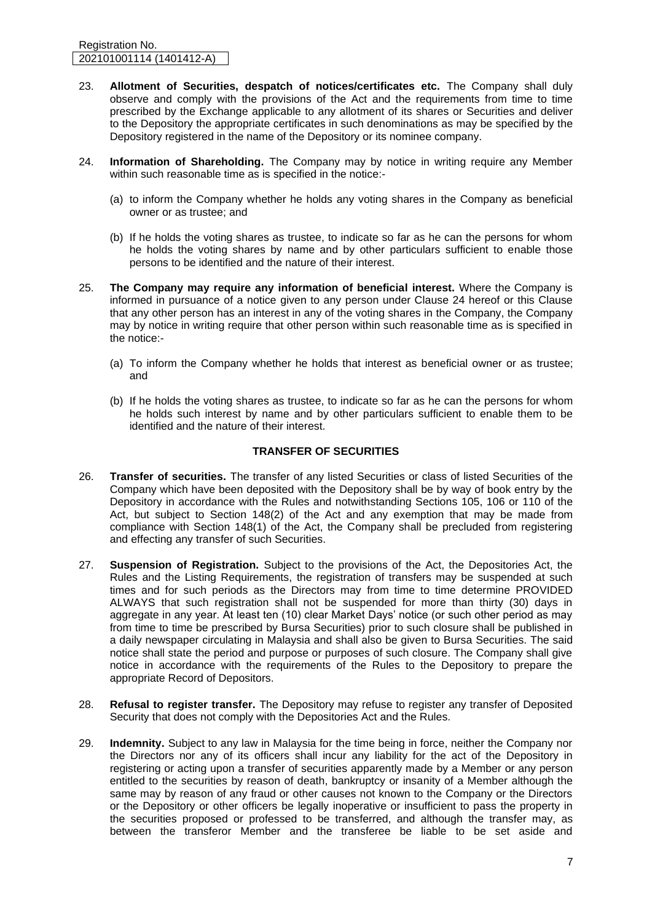Registration No. 202101001114 (1401412-A)

- 23. **Allotment of Securities, despatch of notices/certificates etc.** The Company shall duly observe and comply with the provisions of the Act and the requirements from time to time prescribed by the Exchange applicable to any allotment of its shares or Securities and deliver to the Depository the appropriate certificates in such denominations as may be specified by the Depository registered in the name of the Depository or its nominee company.
- 24. **Information of Shareholding.** The Company may by notice in writing require any Member within such reasonable time as is specified in the notice:-
	- (a) to inform the Company whether he holds any voting shares in the Company as beneficial owner or as trustee; and
	- (b) If he holds the voting shares as trustee, to indicate so far as he can the persons for whom he holds the voting shares by name and by other particulars sufficient to enable those persons to be identified and the nature of their interest.
- 25. **The Company may require any information of beneficial interest.** Where the Company is informed in pursuance of a notice given to any person under Clause 24 hereof or this Clause that any other person has an interest in any of the voting shares in the Company, the Company may by notice in writing require that other person within such reasonable time as is specified in the notice:-
	- (a) To inform the Company whether he holds that interest as beneficial owner or as trustee; and
	- (b) If he holds the voting shares as trustee, to indicate so far as he can the persons for whom he holds such interest by name and by other particulars sufficient to enable them to be identified and the nature of their interest.

#### **TRANSFER OF SECURITIES**

- 26. **Transfer of securities.** The transfer of any listed Securities or class of listed Securities of the Company which have been deposited with the Depository shall be by way of book entry by the Depository in accordance with the Rules and notwithstanding Sections 105, 106 or 110 of the Act, but subject to Section 148(2) of the Act and any exemption that may be made from compliance with Section 148(1) of the Act, the Company shall be precluded from registering and effecting any transfer of such Securities.
- 27. **Suspension of Registration.** Subject to the provisions of the Act, the Depositories Act, the Rules and the Listing Requirements, the registration of transfers may be suspended at such times and for such periods as the Directors may from time to time determine PROVIDED ALWAYS that such registration shall not be suspended for more than thirty (30) days in aggregate in any year. At least ten (10) clear Market Days' notice (or such other period as may from time to time be prescribed by Bursa Securities) prior to such closure shall be published in a daily newspaper circulating in Malaysia and shall also be given to Bursa Securities. The said notice shall state the period and purpose or purposes of such closure. The Company shall give notice in accordance with the requirements of the Rules to the Depository to prepare the appropriate Record of Depositors.
- 28. **Refusal to register transfer.** The Depository may refuse to register any transfer of Deposited Security that does not comply with the Depositories Act and the Rules.
- 29. **Indemnity.** Subject to any law in Malaysia for the time being in force, neither the Company nor the Directors nor any of its officers shall incur any liability for the act of the Depository in registering or acting upon a transfer of securities apparently made by a Member or any person entitled to the securities by reason of death, bankruptcy or insanity of a Member although the same may by reason of any fraud or other causes not known to the Company or the Directors or the Depository or other officers be legally inoperative or insufficient to pass the property in the securities proposed or professed to be transferred, and although the transfer may, as between the transferor Member and the transferee be liable to be set aside and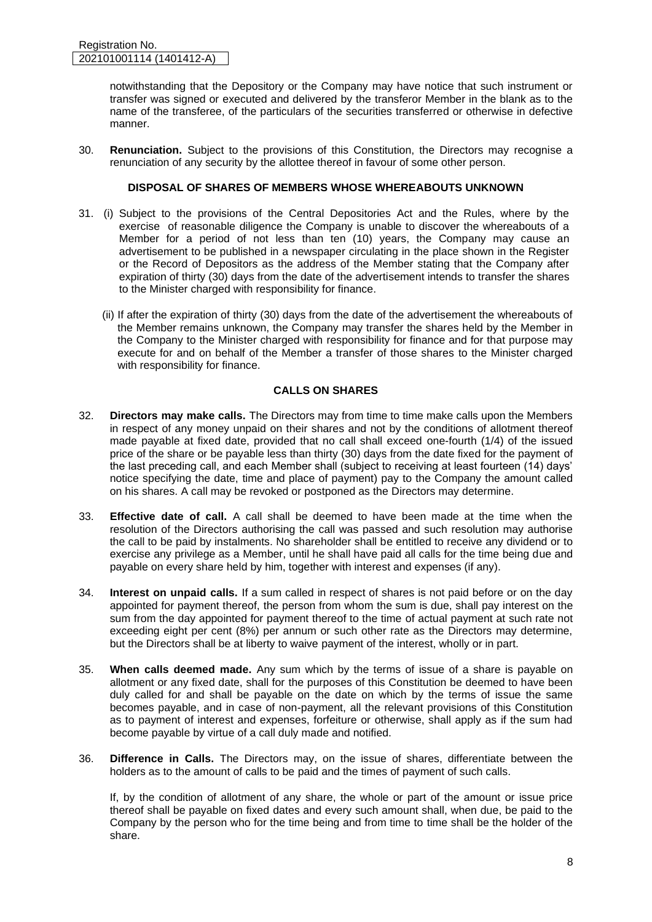notwithstanding that the Depository or the Company may have notice that such instrument or transfer was signed or executed and delivered by the transferor Member in the blank as to the name of the transferee, of the particulars of the securities transferred or otherwise in defective manner.

30. **Renunciation.** Subject to the provisions of this Constitution, the Directors may recognise a renunciation of any security by the allottee thereof in favour of some other person.

# **DISPOSAL OF SHARES OF MEMBERS WHOSE WHEREABOUTS UNKNOWN**

- 31. (i) Subject to the provisions of the Central Depositories Act and the Rules, where by the exercise of reasonable diligence the Company is unable to discover the whereabouts of a Member for a period of not less than ten (10) years, the Company may cause an advertisement to be published in a newspaper circulating in the place shown in the Register or the Record of Depositors as the address of the Member stating that the Company after expiration of thirty (30) days from the date of the advertisement intends to transfer the shares to the Minister charged with responsibility for finance.
	- (ii) If after the expiration of thirty (30) days from the date of the advertisement the whereabouts of the Member remains unknown, the Company may transfer the shares held by the Member in the Company to the Minister charged with responsibility for finance and for that purpose may execute for and on behalf of the Member a transfer of those shares to the Minister charged with responsibility for finance.

#### **CALLS ON SHARES**

- 32. **Directors may make calls.** The Directors may from time to time make calls upon the Members in respect of any money unpaid on their shares and not by the conditions of allotment thereof made payable at fixed date, provided that no call shall exceed one-fourth (1/4) of the issued price of the share or be payable less than thirty (30) days from the date fixed for the payment of the last preceding call, and each Member shall (subject to receiving at least fourteen (14) days' notice specifying the date, time and place of payment) pay to the Company the amount called on his shares. A call may be revoked or postponed as the Directors may determine.
- 33. **Effective date of call.** A call shall be deemed to have been made at the time when the resolution of the Directors authorising the call was passed and such resolution may authorise the call to be paid by instalments. No shareholder shall be entitled to receive any dividend or to exercise any privilege as a Member, until he shall have paid all calls for the time being due and payable on every share held by him, together with interest and expenses (if any).
- 34. **Interest on unpaid calls.** If a sum called in respect of shares is not paid before or on the day appointed for payment thereof, the person from whom the sum is due, shall pay interest on the sum from the day appointed for payment thereof to the time of actual payment at such rate not exceeding eight per cent (8%) per annum or such other rate as the Directors may determine, but the Directors shall be at liberty to waive payment of the interest, wholly or in part.
- 35. **When calls deemed made.** Any sum which by the terms of issue of a share is payable on allotment or any fixed date, shall for the purposes of this Constitution be deemed to have been duly called for and shall be payable on the date on which by the terms of issue the same becomes payable, and in case of non-payment, all the relevant provisions of this Constitution as to payment of interest and expenses, forfeiture or otherwise, shall apply as if the sum had become payable by virtue of a call duly made and notified.
- 36. **Difference in Calls.** The Directors may, on the issue of shares, differentiate between the holders as to the amount of calls to be paid and the times of payment of such calls.

If, by the condition of allotment of any share, the whole or part of the amount or issue price thereof shall be payable on fixed dates and every such amount shall, when due, be paid to the Company by the person who for the time being and from time to time shall be the holder of the share.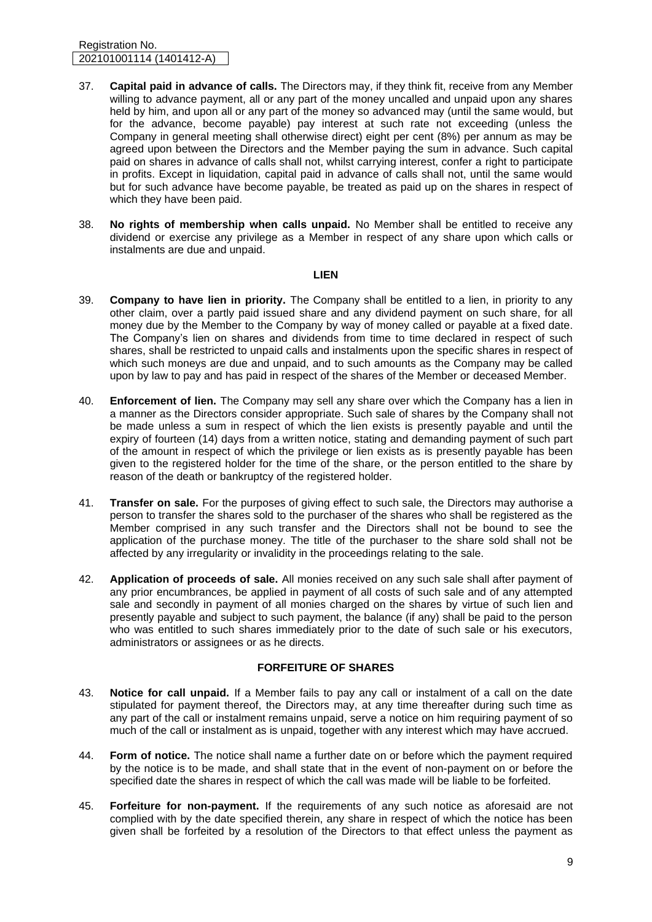#### Registration No. 202101001114 (1401412-A)

- 37. **Capital paid in advance of calls.** The Directors may, if they think fit, receive from any Member willing to advance payment, all or any part of the money uncalled and unpaid upon any shares held by him, and upon all or any part of the money so advanced may (until the same would, but for the advance, become payable) pay interest at such rate not exceeding (unless the Company in general meeting shall otherwise direct) eight per cent (8%) per annum as may be agreed upon between the Directors and the Member paying the sum in advance. Such capital paid on shares in advance of calls shall not, whilst carrying interest, confer a right to participate in profits. Except in liquidation, capital paid in advance of calls shall not, until the same would but for such advance have become payable, be treated as paid up on the shares in respect of which they have been paid.
- 38. **No rights of membership when calls unpaid.** No Member shall be entitled to receive any dividend or exercise any privilege as a Member in respect of any share upon which calls or instalments are due and unpaid.

#### **LIEN**

- 39. **Company to have lien in priority.** The Company shall be entitled to a lien, in priority to any other claim, over a partly paid issued share and any dividend payment on such share, for all money due by the Member to the Company by way of money called or payable at a fixed date. The Company's lien on shares and dividends from time to time declared in respect of such shares, shall be restricted to unpaid calls and instalments upon the specific shares in respect of which such moneys are due and unpaid, and to such amounts as the Company may be called upon by law to pay and has paid in respect of the shares of the Member or deceased Member.
- 40. **Enforcement of lien.** The Company may sell any share over which the Company has a lien in a manner as the Directors consider appropriate. Such sale of shares by the Company shall not be made unless a sum in respect of which the lien exists is presently payable and until the expiry of fourteen (14) days from a written notice, stating and demanding payment of such part of the amount in respect of which the privilege or lien exists as is presently payable has been given to the registered holder for the time of the share, or the person entitled to the share by reason of the death or bankruptcy of the registered holder.
- 41. **Transfer on sale.** For the purposes of giving effect to such sale, the Directors may authorise a person to transfer the shares sold to the purchaser of the shares who shall be registered as the Member comprised in any such transfer and the Directors shall not be bound to see the application of the purchase money. The title of the purchaser to the share sold shall not be affected by any irregularity or invalidity in the proceedings relating to the sale.
- 42. **Application of proceeds of sale.** All monies received on any such sale shall after payment of any prior encumbrances, be applied in payment of all costs of such sale and of any attempted sale and secondly in payment of all monies charged on the shares by virtue of such lien and presently payable and subject to such payment, the balance (if any) shall be paid to the person who was entitled to such shares immediately prior to the date of such sale or his executors, administrators or assignees or as he directs.

# **FORFEITURE OF SHARES**

- 43. **Notice for call unpaid.** If a Member fails to pay any call or instalment of a call on the date stipulated for payment thereof, the Directors may, at any time thereafter during such time as any part of the call or instalment remains unpaid, serve a notice on him requiring payment of so much of the call or instalment as is unpaid, together with any interest which may have accrued.
- 44. **Form of notice.** The notice shall name a further date on or before which the payment required by the notice is to be made, and shall state that in the event of non-payment on or before the specified date the shares in respect of which the call was made will be liable to be forfeited.
- 45. **Forfeiture for non-payment.** If the requirements of any such notice as aforesaid are not complied with by the date specified therein, any share in respect of which the notice has been given shall be forfeited by a resolution of the Directors to that effect unless the payment as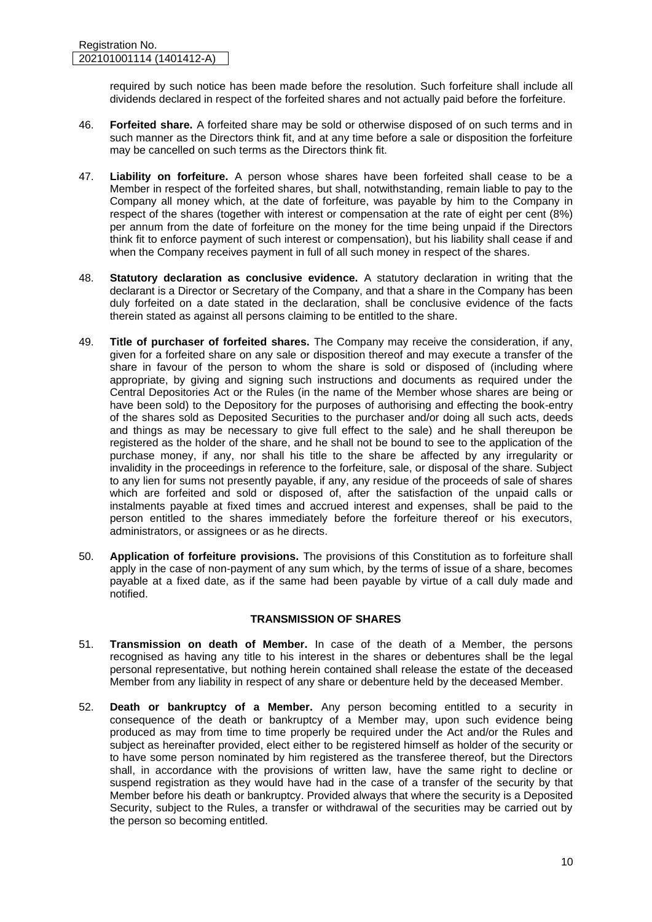required by such notice has been made before the resolution. Such forfeiture shall include all dividends declared in respect of the forfeited shares and not actually paid before the forfeiture.

- 46. **Forfeited share.** A forfeited share may be sold or otherwise disposed of on such terms and in such manner as the Directors think fit, and at any time before a sale or disposition the forfeiture may be cancelled on such terms as the Directors think fit.
- 47. **Liability on forfeiture.** A person whose shares have been forfeited shall cease to be a Member in respect of the forfeited shares, but shall, notwithstanding, remain liable to pay to the Company all money which, at the date of forfeiture, was payable by him to the Company in respect of the shares (together with interest or compensation at the rate of eight per cent (8%) per annum from the date of forfeiture on the money for the time being unpaid if the Directors think fit to enforce payment of such interest or compensation), but his liability shall cease if and when the Company receives payment in full of all such money in respect of the shares.
- 48. **Statutory declaration as conclusive evidence.** A statutory declaration in writing that the declarant is a Director or Secretary of the Company, and that a share in the Company has been duly forfeited on a date stated in the declaration, shall be conclusive evidence of the facts therein stated as against all persons claiming to be entitled to the share.
- 49. **Title of purchaser of forfeited shares.** The Company may receive the consideration, if any, given for a forfeited share on any sale or disposition thereof and may execute a transfer of the share in favour of the person to whom the share is sold or disposed of (including where appropriate, by giving and signing such instructions and documents as required under the Central Depositories Act or the Rules (in the name of the Member whose shares are being or have been sold) to the Depository for the purposes of authorising and effecting the book-entry of the shares sold as Deposited Securities to the purchaser and/or doing all such acts, deeds and things as may be necessary to give full effect to the sale) and he shall thereupon be registered as the holder of the share, and he shall not be bound to see to the application of the purchase money, if any, nor shall his title to the share be affected by any irregularity or invalidity in the proceedings in reference to the forfeiture, sale, or disposal of the share. Subject to any lien for sums not presently payable, if any, any residue of the proceeds of sale of shares which are forfeited and sold or disposed of, after the satisfaction of the unpaid calls or instalments payable at fixed times and accrued interest and expenses, shall be paid to the person entitled to the shares immediately before the forfeiture thereof or his executors, administrators, or assignees or as he directs.
- 50. **Application of forfeiture provisions.** The provisions of this Constitution as to forfeiture shall apply in the case of non-payment of any sum which, by the terms of issue of a share, becomes payable at a fixed date, as if the same had been payable by virtue of a call duly made and notified.

# **TRANSMISSION OF SHARES**

- 51. **Transmission on death of Member.** In case of the death of a Member, the persons recognised as having any title to his interest in the shares or debentures shall be the legal personal representative, but nothing herein contained shall release the estate of the deceased Member from any liability in respect of any share or debenture held by the deceased Member.
- 52. **Death or bankruptcy of a Member.** Any person becoming entitled to a security in consequence of the death or bankruptcy of a Member may, upon such evidence being produced as may from time to time properly be required under the Act and/or the Rules and subject as hereinafter provided, elect either to be registered himself as holder of the security or to have some person nominated by him registered as the transferee thereof, but the Directors shall, in accordance with the provisions of written law, have the same right to decline or suspend registration as they would have had in the case of a transfer of the security by that Member before his death or bankruptcy. Provided always that where the security is a Deposited Security, subject to the Rules, a transfer or withdrawal of the securities may be carried out by the person so becoming entitled.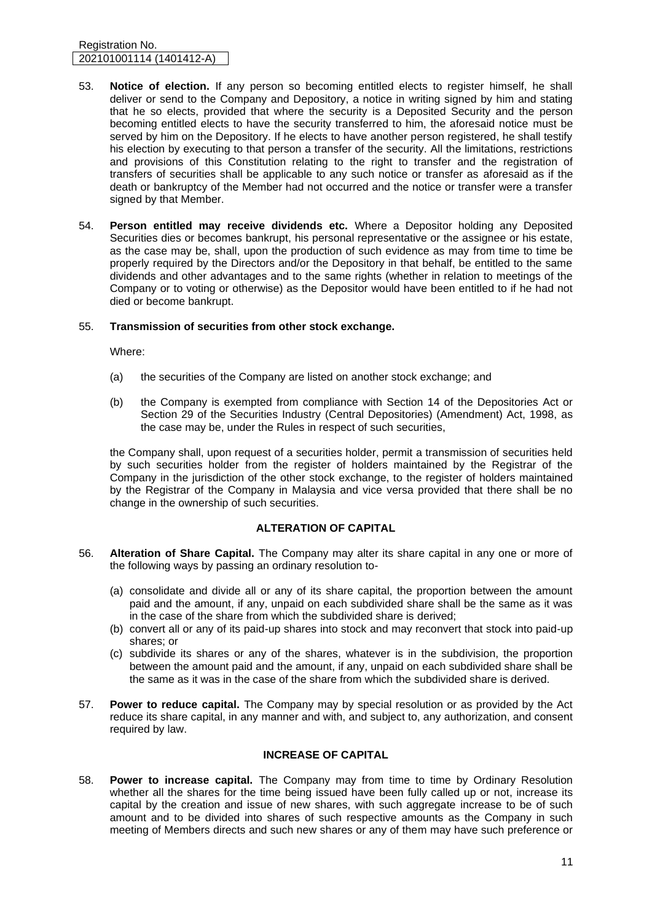#### Registration No. 202101001114 (1401412-A)

- 53. **Notice of election.** If any person so becoming entitled elects to register himself, he shall deliver or send to the Company and Depository, a notice in writing signed by him and stating that he so elects, provided that where the security is a Deposited Security and the person becoming entitled elects to have the security transferred to him, the aforesaid notice must be served by him on the Depository. If he elects to have another person registered, he shall testify his election by executing to that person a transfer of the security. All the limitations, restrictions and provisions of this Constitution relating to the right to transfer and the registration of transfers of securities shall be applicable to any such notice or transfer as aforesaid as if the death or bankruptcy of the Member had not occurred and the notice or transfer were a transfer signed by that Member.
- 54. **Person entitled may receive dividends etc.** Where a Depositor holding any Deposited Securities dies or becomes bankrupt, his personal representative or the assignee or his estate, as the case may be, shall, upon the production of such evidence as may from time to time be properly required by the Directors and/or the Depository in that behalf, be entitled to the same dividends and other advantages and to the same rights (whether in relation to meetings of the Company or to voting or otherwise) as the Depositor would have been entitled to if he had not died or become bankrupt.

# 55. **Transmission of securities from other stock exchange.**

Where:

- (a) the securities of the Company are listed on another stock exchange; and
- (b) the Company is exempted from compliance with Section 14 of the Depositories Act or Section 29 of the Securities Industry (Central Depositories) (Amendment) Act, 1998, as the case may be, under the Rules in respect of such securities,

the Company shall, upon request of a securities holder, permit a transmission of securities held by such securities holder from the register of holders maintained by the Registrar of the Company in the jurisdiction of the other stock exchange, to the register of holders maintained by the Registrar of the Company in Malaysia and vice versa provided that there shall be no change in the ownership of such securities.

# **ALTERATION OF CAPITAL**

- 56. **Alteration of Share Capital.** The Company may alter its share capital in any one or more of the following ways by passing an ordinary resolution to-
	- (a) consolidate and divide all or any of its share capital, the proportion between the amount paid and the amount, if any, unpaid on each subdivided share shall be the same as it was in the case of the share from which the subdivided share is derived;
	- (b) convert all or any of its paid-up shares into stock and may reconvert that stock into paid-up shares; or
	- (c) subdivide its shares or any of the shares, whatever is in the subdivision, the proportion between the amount paid and the amount, if any, unpaid on each subdivided share shall be the same as it was in the case of the share from which the subdivided share is derived.
- 57. **Power to reduce capital.** The Company may by special resolution or as provided by the Act reduce its share capital, in any manner and with, and subject to, any authorization, and consent required by law.

# **INCREASE OF CAPITAL**

58. **Power to increase capital.** The Company may from time to time by Ordinary Resolution whether all the shares for the time being issued have been fully called up or not, increase its capital by the creation and issue of new shares, with such aggregate increase to be of such amount and to be divided into shares of such respective amounts as the Company in such meeting of Members directs and such new shares or any of them may have such preference or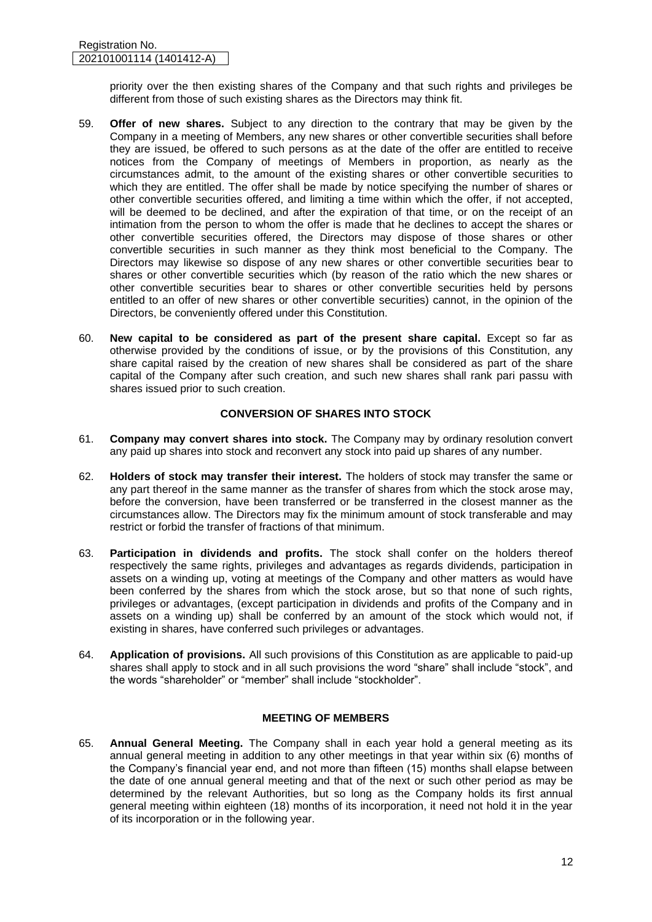priority over the then existing shares of the Company and that such rights and privileges be different from those of such existing shares as the Directors may think fit.

- 59. **Offer of new shares.** Subject to any direction to the contrary that may be given by the Company in a meeting of Members, any new shares or other convertible securities shall before they are issued, be offered to such persons as at the date of the offer are entitled to receive notices from the Company of meetings of Members in proportion, as nearly as the circumstances admit, to the amount of the existing shares or other convertible securities to which they are entitled. The offer shall be made by notice specifying the number of shares or other convertible securities offered, and limiting a time within which the offer, if not accepted, will be deemed to be declined, and after the expiration of that time, or on the receipt of an intimation from the person to whom the offer is made that he declines to accept the shares or other convertible securities offered, the Directors may dispose of those shares or other convertible securities in such manner as they think most beneficial to the Company. The Directors may likewise so dispose of any new shares or other convertible securities bear to shares or other convertible securities which (by reason of the ratio which the new shares or other convertible securities bear to shares or other convertible securities held by persons entitled to an offer of new shares or other convertible securities) cannot, in the opinion of the Directors, be conveniently offered under this Constitution.
- 60. **New capital to be considered as part of the present share capital.** Except so far as otherwise provided by the conditions of issue, or by the provisions of this Constitution, any share capital raised by the creation of new shares shall be considered as part of the share capital of the Company after such creation, and such new shares shall rank pari passu with shares issued prior to such creation.

# **CONVERSION OF SHARES INTO STOCK**

- 61. **Company may convert shares into stock.** The Company may by ordinary resolution convert any paid up shares into stock and reconvert any stock into paid up shares of any number.
- 62. **Holders of stock may transfer their interest.** The holders of stock may transfer the same or any part thereof in the same manner as the transfer of shares from which the stock arose may, before the conversion, have been transferred or be transferred in the closest manner as the circumstances allow. The Directors may fix the minimum amount of stock transferable and may restrict or forbid the transfer of fractions of that minimum.
- 63. **Participation in dividends and profits.** The stock shall confer on the holders thereof respectively the same rights, privileges and advantages as regards dividends, participation in assets on a winding up, voting at meetings of the Company and other matters as would have been conferred by the shares from which the stock arose, but so that none of such rights, privileges or advantages, (except participation in dividends and profits of the Company and in assets on a winding up) shall be conferred by an amount of the stock which would not, if existing in shares, have conferred such privileges or advantages.
- 64. **Application of provisions.** All such provisions of this Constitution as are applicable to paid-up shares shall apply to stock and in all such provisions the word "share" shall include "stock", and the words "shareholder" or "member" shall include "stockholder".

# **MEETING OF MEMBERS**

65. **Annual General Meeting.** The Company shall in each year hold a general meeting as its annual general meeting in addition to any other meetings in that year within six (6) months of the Company's financial year end, and not more than fifteen (15) months shall elapse between the date of one annual general meeting and that of the next or such other period as may be determined by the relevant Authorities, but so long as the Company holds its first annual general meeting within eighteen (18) months of its incorporation, it need not hold it in the year of its incorporation or in the following year.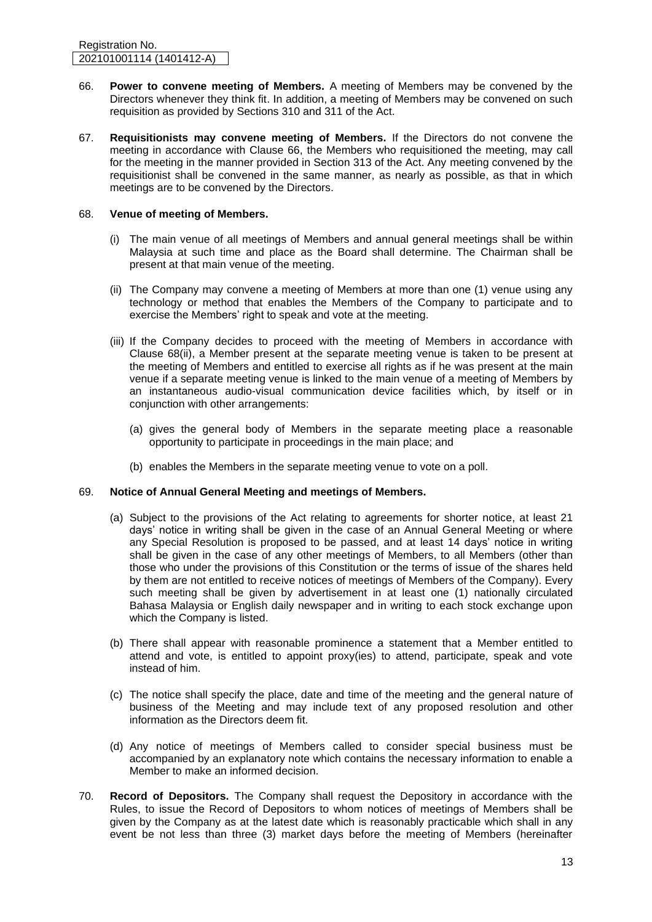- 66. **Power to convene meeting of Members.** A meeting of Members may be convened by the Directors whenever they think fit. In addition, a meeting of Members may be convened on such requisition as provided by Sections 310 and 311 of the Act.
- 67. **Requisitionists may convene meeting of Members.** If the Directors do not convene the meeting in accordance with Clause 66, the Members who requisitioned the meeting, may call for the meeting in the manner provided in Section 313 of the Act. Any meeting convened by the requisitionist shall be convened in the same manner, as nearly as possible, as that in which meetings are to be convened by the Directors.

#### 68. **Venue of meeting of Members.**

- (i) The main venue of all meetings of Members and annual general meetings shall be within Malaysia at such time and place as the Board shall determine. The Chairman shall be present at that main venue of the meeting.
- (ii) The Company may convene a meeting of Members at more than one (1) venue using any technology or method that enables the Members of the Company to participate and to exercise the Members' right to speak and vote at the meeting.
- (iii) If the Company decides to proceed with the meeting of Members in accordance with Clause 68(ii), a Member present at the separate meeting venue is taken to be present at the meeting of Members and entitled to exercise all rights as if he was present at the main venue if a separate meeting venue is linked to the main venue of a meeting of Members by an instantaneous audio-visual communication device facilities which, by itself or in conjunction with other arrangements:
	- (a) gives the general body of Members in the separate meeting place a reasonable opportunity to participate in proceedings in the main place; and
	- (b) enables the Members in the separate meeting venue to vote on a poll.

# 69. **Notice of Annual General Meeting and meetings of Members.**

- (a) Subject to the provisions of the Act relating to agreements for shorter notice, at least 21 days' notice in writing shall be given in the case of an Annual General Meeting or where any Special Resolution is proposed to be passed, and at least 14 days' notice in writing shall be given in the case of any other meetings of Members, to all Members (other than those who under the provisions of this Constitution or the terms of issue of the shares held by them are not entitled to receive notices of meetings of Members of the Company). Every such meeting shall be given by advertisement in at least one (1) nationally circulated Bahasa Malaysia or English daily newspaper and in writing to each stock exchange upon which the Company is listed.
- (b) There shall appear with reasonable prominence a statement that a Member entitled to attend and vote, is entitled to appoint proxy(ies) to attend, participate, speak and vote instead of him.
- (c) The notice shall specify the place, date and time of the meeting and the general nature of business of the Meeting and may include text of any proposed resolution and other information as the Directors deem fit.
- (d) Any notice of meetings of Members called to consider special business must be accompanied by an explanatory note which contains the necessary information to enable a Member to make an informed decision.
- 70. **Record of Depositors.** The Company shall request the Depository in accordance with the Rules, to issue the Record of Depositors to whom notices of meetings of Members shall be given by the Company as at the latest date which is reasonably practicable which shall in any event be not less than three (3) market days before the meeting of Members (hereinafter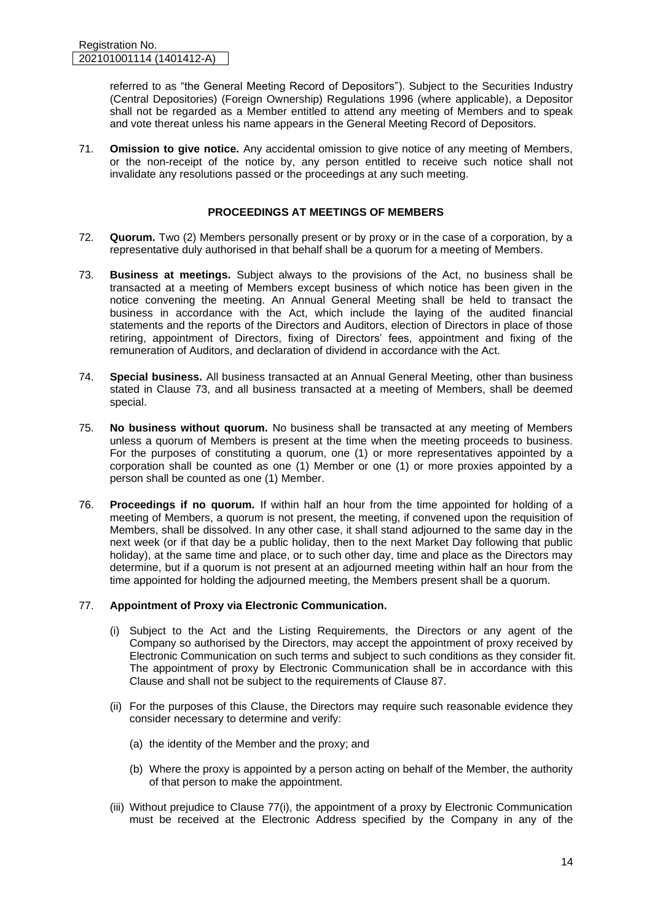referred to as "the General Meeting Record of Depositors"). Subject to the Securities Industry (Central Depositories) (Foreign Ownership) Regulations 1996 (where applicable), a Depositor shall not be regarded as a Member entitled to attend any meeting of Members and to speak and vote thereat unless his name appears in the General Meeting Record of Depositors.

71. **Omission to give notice.** Any accidental omission to give notice of any meeting of Members, or the non-receipt of the notice by, any person entitled to receive such notice shall not invalidate any resolutions passed or the proceedings at any such meeting.

# **PROCEEDINGS AT MEETINGS OF MEMBERS**

- 72. **Quorum.** Two (2) Members personally present or by proxy or in the case of a corporation, by a representative duly authorised in that behalf shall be a quorum for a meeting of Members.
- 73. **Business at meetings.** Subject always to the provisions of the Act, no business shall be transacted at a meeting of Members except business of which notice has been given in the notice convening the meeting. An Annual General Meeting shall be held to transact the business in accordance with the Act, which include the laying of the audited financial statements and the reports of the Directors and Auditors, election of Directors in place of those retiring, appointment of Directors, fixing of Directors' fees, appointment and fixing of the remuneration of Auditors, and declaration of dividend in accordance with the Act.
- 74. **Special business.** All business transacted at an Annual General Meeting, other than business stated in Clause 73, and all business transacted at a meeting of Members, shall be deemed special.
- 75. **No business without quorum.** No business shall be transacted at any meeting of Members unless a quorum of Members is present at the time when the meeting proceeds to business. For the purposes of constituting a quorum, one (1) or more representatives appointed by a corporation shall be counted as one (1) Member or one (1) or more proxies appointed by a person shall be counted as one (1) Member.
- 76. **Proceedings if no quorum.** If within half an hour from the time appointed for holding of a meeting of Members, a quorum is not present, the meeting, if convened upon the requisition of Members, shall be dissolved. In any other case, it shall stand adjourned to the same day in the next week (or if that day be a public holiday, then to the next Market Day following that public holiday), at the same time and place, or to such other day, time and place as the Directors may determine, but if a quorum is not present at an adjourned meeting within half an hour from the time appointed for holding the adjourned meeting, the Members present shall be a quorum.

# 77. **Appointment of Proxy via Electronic Communication.**

- (i) Subject to the Act and the Listing Requirements, the Directors or any agent of the Company so authorised by the Directors, may accept the appointment of proxy received by Electronic Communication on such terms and subject to such conditions as they consider fit. The appointment of proxy by Electronic Communication shall be in accordance with this Clause and shall not be subject to the requirements of Clause 87.
- (ii) For the purposes of this Clause, the Directors may require such reasonable evidence they consider necessary to determine and verify:
	- (a) the identity of the Member and the proxy; and
	- (b) Where the proxy is appointed by a person acting on behalf of the Member, the authority of that person to make the appointment.
- (iii) Without prejudice to Clause 77(i), the appointment of a proxy by Electronic Communication must be received at the Electronic Address specified by the Company in any of the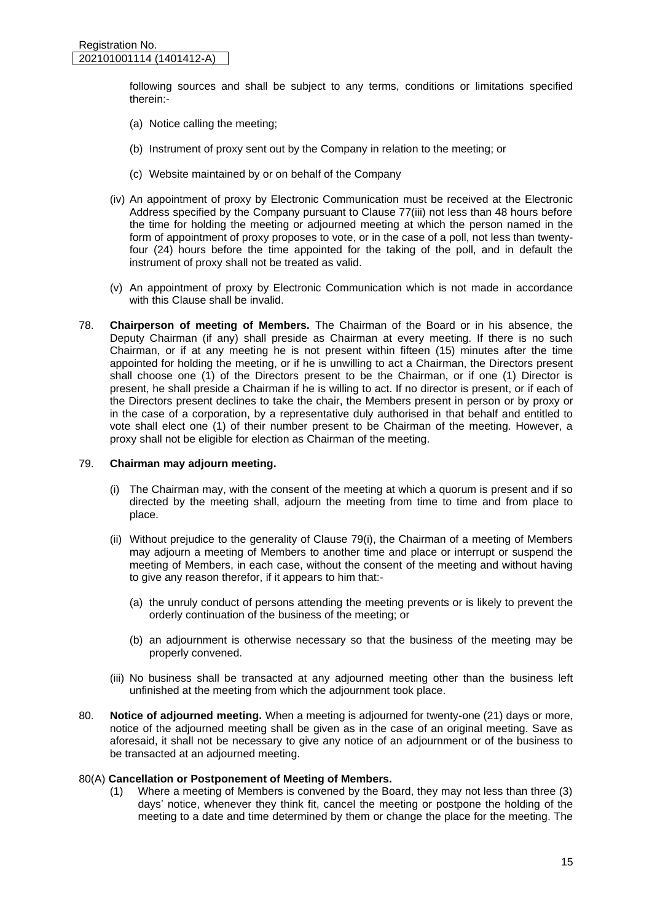following sources and shall be subject to any terms, conditions or limitations specified therein:-

- (a) Notice calling the meeting;
- (b) Instrument of proxy sent out by the Company in relation to the meeting; or
- (c) Website maintained by or on behalf of the Company
- (iv) An appointment of proxy by Electronic Communication must be received at the Electronic Address specified by the Company pursuant to Clause 77(iii) not less than 48 hours before the time for holding the meeting or adjourned meeting at which the person named in the form of appointment of proxy proposes to vote, or in the case of a poll, not less than twentyfour (24) hours before the time appointed for the taking of the poll, and in default the instrument of proxy shall not be treated as valid.
- (v) An appointment of proxy by Electronic Communication which is not made in accordance with this Clause shall be invalid.
- 78. **Chairperson of meeting of Members.** The Chairman of the Board or in his absence, the Deputy Chairman (if any) shall preside as Chairman at every meeting. If there is no such Chairman, or if at any meeting he is not present within fifteen (15) minutes after the time appointed for holding the meeting, or if he is unwilling to act a Chairman, the Directors present shall choose one (1) of the Directors present to be the Chairman, or if one (1) Director is present, he shall preside a Chairman if he is willing to act. If no director is present, or if each of the Directors present declines to take the chair, the Members present in person or by proxy or in the case of a corporation, by a representative duly authorised in that behalf and entitled to vote shall elect one (1) of their number present to be Chairman of the meeting. However, a proxy shall not be eligible for election as Chairman of the meeting.

#### 79. **Chairman may adjourn meeting.**

- (i) The Chairman may, with the consent of the meeting at which a quorum is present and if so directed by the meeting shall, adjourn the meeting from time to time and from place to place.
- (ii) Without prejudice to the generality of Clause 79(i), the Chairman of a meeting of Members may adjourn a meeting of Members to another time and place or interrupt or suspend the meeting of Members, in each case, without the consent of the meeting and without having to give any reason therefor, if it appears to him that:-
	- (a) the unruly conduct of persons attending the meeting prevents or is likely to prevent the orderly continuation of the business of the meeting; or
	- (b) an adjournment is otherwise necessary so that the business of the meeting may be properly convened.
- (iii) No business shall be transacted at any adjourned meeting other than the business left unfinished at the meeting from which the adjournment took place.
- 80. **Notice of adjourned meeting.** When a meeting is adjourned for twenty-one (21) days or more, notice of the adjourned meeting shall be given as in the case of an original meeting. Save as aforesaid, it shall not be necessary to give any notice of an adjournment or of the business to be transacted at an adjourned meeting.

#### 80(A) **Cancellation or Postponement of Meeting of Members.**

(1) Where a meeting of Members is convened by the Board, they may not less than three (3) days' notice, whenever they think fit, cancel the meeting or postpone the holding of the meeting to a date and time determined by them or change the place for the meeting. The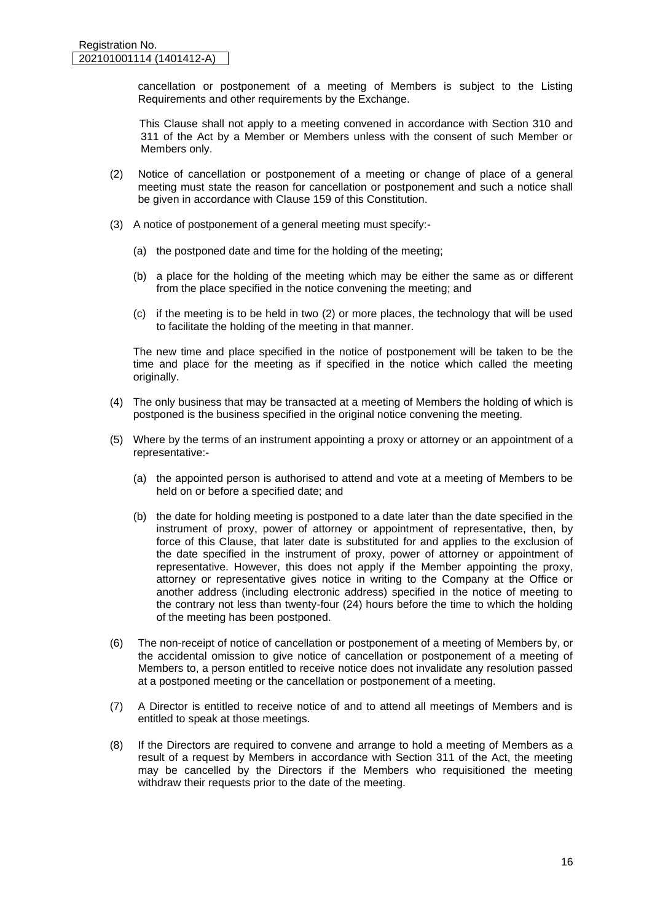cancellation or postponement of a meeting of Members is subject to the Listing Requirements and other requirements by the Exchange.

 This Clause shall not apply to a meeting convened in accordance with Section 310 and 311 of the Act by a Member or Members unless with the consent of such Member or Members only.

- (2) Notice of cancellation or postponement of a meeting or change of place of a general meeting must state the reason for cancellation or postponement and such a notice shall be given in accordance with Clause 159 of this Constitution.
- (3) A notice of postponement of a general meeting must specify:-
	- (a) the postponed date and time for the holding of the meeting;
	- (b) a place for the holding of the meeting which may be either the same as or different from the place specified in the notice convening the meeting; and
	- (c) if the meeting is to be held in two (2) or more places, the technology that will be used to facilitate the holding of the meeting in that manner.

The new time and place specified in the notice of postponement will be taken to be the time and place for the meeting as if specified in the notice which called the meeting originally.

- (4) The only business that may be transacted at a meeting of Members the holding of which is postponed is the business specified in the original notice convening the meeting.
- (5) Where by the terms of an instrument appointing a proxy or attorney or an appointment of a representative:-
	- (a) the appointed person is authorised to attend and vote at a meeting of Members to be held on or before a specified date; and
	- (b) the date for holding meeting is postponed to a date later than the date specified in the instrument of proxy, power of attorney or appointment of representative, then, by force of this Clause, that later date is substituted for and applies to the exclusion of the date specified in the instrument of proxy, power of attorney or appointment of representative. However, this does not apply if the Member appointing the proxy, attorney or representative gives notice in writing to the Company at the Office or another address (including electronic address) specified in the notice of meeting to the contrary not less than twenty-four (24) hours before the time to which the holding of the meeting has been postponed.
- (6) The non-receipt of notice of cancellation or postponement of a meeting of Members by, or the accidental omission to give notice of cancellation or postponement of a meeting of Members to, a person entitled to receive notice does not invalidate any resolution passed at a postponed meeting or the cancellation or postponement of a meeting.
- (7) A Director is entitled to receive notice of and to attend all meetings of Members and is entitled to speak at those meetings.
- (8) If the Directors are required to convene and arrange to hold a meeting of Members as a result of a request by Members in accordance with Section 311 of the Act, the meeting may be cancelled by the Directors if the Members who requisitioned the meeting withdraw their requests prior to the date of the meeting.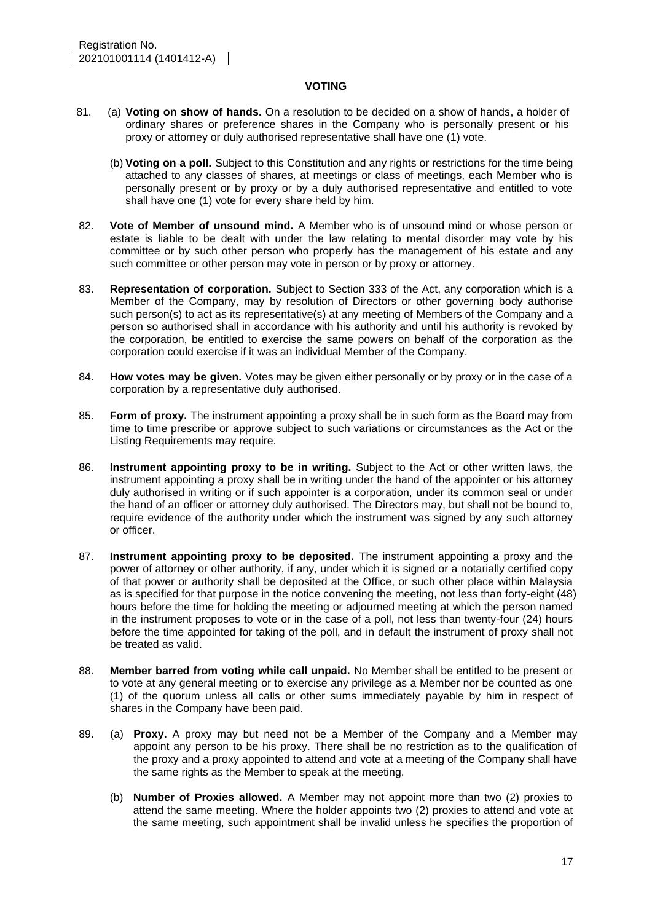#### **VOTING**

- 81. (a) **Voting on show of hands.** On a resolution to be decided on a show of hands, a holder of ordinary shares or preference shares in the Company who is personally present or his proxy or attorney or duly authorised representative shall have one (1) vote.
	- (b) **Voting on a poll.** Subject to this Constitution and any rights or restrictions for the time being attached to any classes of shares, at meetings or class of meetings, each Member who is personally present or by proxy or by a duly authorised representative and entitled to vote shall have one (1) vote for every share held by him.
- 82. **Vote of Member of unsound mind.** A Member who is of unsound mind or whose person or estate is liable to be dealt with under the law relating to mental disorder may vote by his committee or by such other person who properly has the management of his estate and any such committee or other person may vote in person or by proxy or attorney.
- 83. **Representation of corporation.** Subject to Section 333 of the Act, any corporation which is a Member of the Company, may by resolution of Directors or other governing body authorise such person(s) to act as its representative(s) at any meeting of Members of the Company and a person so authorised shall in accordance with his authority and until his authority is revoked by the corporation, be entitled to exercise the same powers on behalf of the corporation as the corporation could exercise if it was an individual Member of the Company.
- 84. **How votes may be given.** Votes may be given either personally or by proxy or in the case of a corporation by a representative duly authorised.
- 85. **Form of proxy.** The instrument appointing a proxy shall be in such form as the Board may from time to time prescribe or approve subject to such variations or circumstances as the Act or the Listing Requirements may require.
- 86. **Instrument appointing proxy to be in writing.** Subject to the Act or other written laws, the instrument appointing a proxy shall be in writing under the hand of the appointer or his attorney duly authorised in writing or if such appointer is a corporation, under its common seal or under the hand of an officer or attorney duly authorised. The Directors may, but shall not be bound to, require evidence of the authority under which the instrument was signed by any such attorney or officer.
- 87. **Instrument appointing proxy to be deposited.** The instrument appointing a proxy and the power of attorney or other authority, if any, under which it is signed or a notarially certified copy of that power or authority shall be deposited at the Office, or such other place within Malaysia as is specified for that purpose in the notice convening the meeting, not less than forty-eight (48) hours before the time for holding the meeting or adjourned meeting at which the person named in the instrument proposes to vote or in the case of a poll, not less than twenty-four (24) hours before the time appointed for taking of the poll, and in default the instrument of proxy shall not be treated as valid.
- 88. **Member barred from voting while call unpaid.** No Member shall be entitled to be present or to vote at any general meeting or to exercise any privilege as a Member nor be counted as one (1) of the quorum unless all calls or other sums immediately payable by him in respect of shares in the Company have been paid.
- 89. (a) **Proxy.** A proxy may but need not be a Member of the Company and a Member may appoint any person to be his proxy. There shall be no restriction as to the qualification of the proxy and a proxy appointed to attend and vote at a meeting of the Company shall have the same rights as the Member to speak at the meeting.
	- (b) **Number of Proxies allowed.** A Member may not appoint more than two (2) proxies to attend the same meeting. Where the holder appoints two (2) proxies to attend and vote at the same meeting, such appointment shall be invalid unless he specifies the proportion of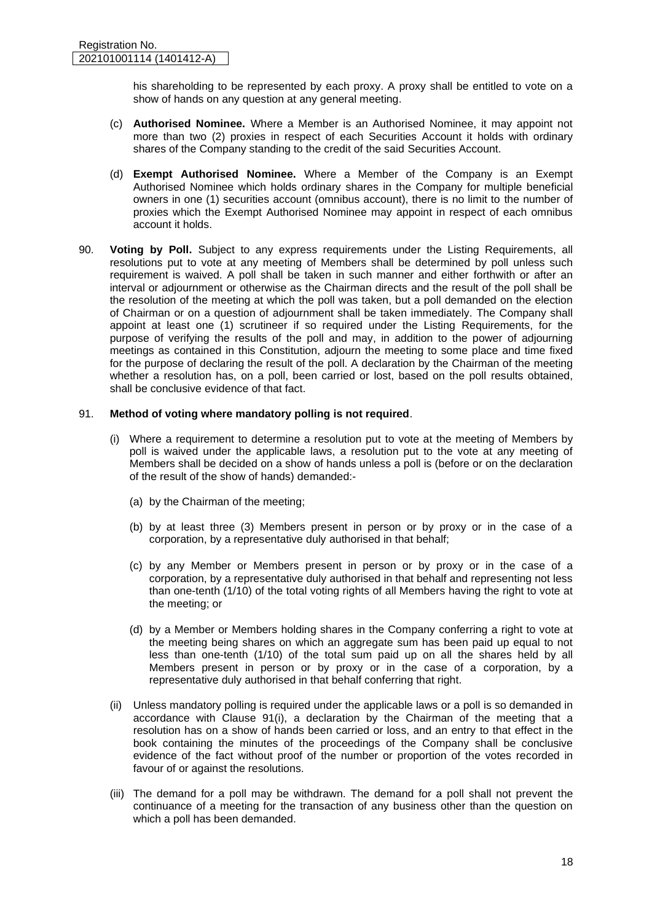his shareholding to be represented by each proxy. A proxy shall be entitled to vote on a show of hands on any question at any general meeting.

- (c) **Authorised Nominee.** Where a Member is an Authorised Nominee, it may appoint not more than two (2) proxies in respect of each Securities Account it holds with ordinary shares of the Company standing to the credit of the said Securities Account.
- (d) **Exempt Authorised Nominee.** Where a Member of the Company is an Exempt Authorised Nominee which holds ordinary shares in the Company for multiple beneficial owners in one (1) securities account (omnibus account), there is no limit to the number of proxies which the Exempt Authorised Nominee may appoint in respect of each omnibus account it holds.
- 90. **Voting by Poll.** Subject to any express requirements under the Listing Requirements, all resolutions put to vote at any meeting of Members shall be determined by poll unless such requirement is waived. A poll shall be taken in such manner and either forthwith or after an interval or adjournment or otherwise as the Chairman directs and the result of the poll shall be the resolution of the meeting at which the poll was taken, but a poll demanded on the election of Chairman or on a question of adjournment shall be taken immediately. The Company shall appoint at least one (1) scrutineer if so required under the Listing Requirements, for the purpose of verifying the results of the poll and may, in addition to the power of adjourning meetings as contained in this Constitution, adjourn the meeting to some place and time fixed for the purpose of declaring the result of the poll. A declaration by the Chairman of the meeting whether a resolution has, on a poll, been carried or lost, based on the poll results obtained, shall be conclusive evidence of that fact.

# 91. **Method of voting where mandatory polling is not required**.

- (i) Where a requirement to determine a resolution put to vote at the meeting of Members by poll is waived under the applicable laws, a resolution put to the vote at any meeting of Members shall be decided on a show of hands unless a poll is (before or on the declaration of the result of the show of hands) demanded:-
	- (a) by the Chairman of the meeting;
	- (b) by at least three (3) Members present in person or by proxy or in the case of a corporation, by a representative duly authorised in that behalf;
	- (c) by any Member or Members present in person or by proxy or in the case of a corporation, by a representative duly authorised in that behalf and representing not less than one-tenth (1/10) of the total voting rights of all Members having the right to vote at the meeting; or
	- (d) by a Member or Members holding shares in the Company conferring a right to vote at the meeting being shares on which an aggregate sum has been paid up equal to not less than one-tenth (1/10) of the total sum paid up on all the shares held by all Members present in person or by proxy or in the case of a corporation, by a representative duly authorised in that behalf conferring that right.
- (ii) Unless mandatory polling is required under the applicable laws or a poll is so demanded in accordance with Clause 91(i), a declaration by the Chairman of the meeting that a resolution has on a show of hands been carried or loss, and an entry to that effect in the book containing the minutes of the proceedings of the Company shall be conclusive evidence of the fact without proof of the number or proportion of the votes recorded in favour of or against the resolutions.
- (iii) The demand for a poll may be withdrawn. The demand for a poll shall not prevent the continuance of a meeting for the transaction of any business other than the question on which a poll has been demanded.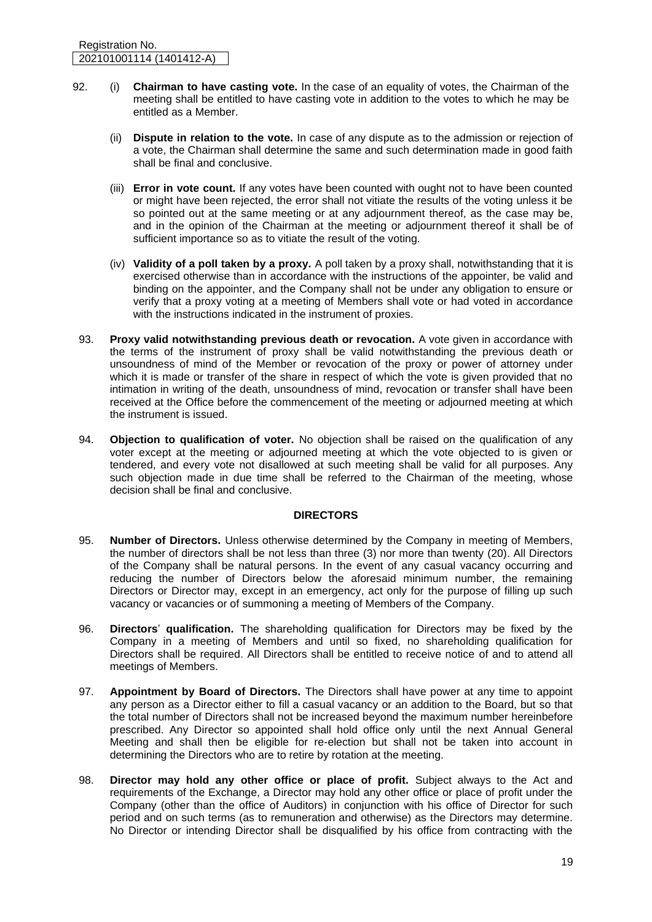- 92. (i) **Chairman to have casting vote.** In the case of an equality of votes, the Chairman of the meeting shall be entitled to have casting vote in addition to the votes to which he may be entitled as a Member.
	- (ii) **Dispute in relation to the vote.** In case of any dispute as to the admission or rejection of a vote, the Chairman shall determine the same and such determination made in good faith shall be final and conclusive.
	- (iii) **Error in vote count.** If any votes have been counted with ought not to have been counted or might have been rejected, the error shall not vitiate the results of the voting unless it be so pointed out at the same meeting or at any adjournment thereof, as the case may be, and in the opinion of the Chairman at the meeting or adjournment thereof it shall be of sufficient importance so as to vitiate the result of the voting.
	- (iv) **Validity of a poll taken by a proxy.** A poll taken by a proxy shall, notwithstanding that it is exercised otherwise than in accordance with the instructions of the appointer, be valid and binding on the appointer, and the Company shall not be under any obligation to ensure or verify that a proxy voting at a meeting of Members shall vote or had voted in accordance with the instructions indicated in the instrument of proxies.
- 93. **Proxy valid notwithstanding previous death or revocation.** A vote given in accordance with the terms of the instrument of proxy shall be valid notwithstanding the previous death or unsoundness of mind of the Member or revocation of the proxy or power of attorney under which it is made or transfer of the share in respect of which the vote is given provided that no intimation in writing of the death, unsoundness of mind, revocation or transfer shall have been received at the Office before the commencement of the meeting or adjourned meeting at which the instrument is issued.
- 94. **Objection to qualification of voter.** No objection shall be raised on the qualification of any voter except at the meeting or adjourned meeting at which the vote objected to is given or tendered, and every vote not disallowed at such meeting shall be valid for all purposes. Any such objection made in due time shall be referred to the Chairman of the meeting, whose decision shall be final and conclusive.

# **DIRECTORS**

- 95. **Number of Directors.** Unless otherwise determined by the Company in meeting of Members, the number of directors shall be not less than three (3) nor more than twenty (20). All Directors of the Company shall be natural persons. In the event of any casual vacancy occurring and reducing the number of Directors below the aforesaid minimum number, the remaining Directors or Director may, except in an emergency, act only for the purpose of filling up such vacancy or vacancies or of summoning a meeting of Members of the Company.
- 96. **Directors**' **qualification.** The shareholding qualification for Directors may be fixed by the Company in a meeting of Members and until so fixed, no shareholding qualification for Directors shall be required. All Directors shall be entitled to receive notice of and to attend all meetings of Members.
- 97. **Appointment by Board of Directors.** The Directors shall have power at any time to appoint any person as a Director either to fill a casual vacancy or an addition to the Board, but so that the total number of Directors shall not be increased beyond the maximum number hereinbefore prescribed. Any Director so appointed shall hold office only until the next Annual General Meeting and shall then be eligible for re-election but shall not be taken into account in determining the Directors who are to retire by rotation at the meeting.
- 98. **Director may hold any other office or place of profit.** Subject always to the Act and requirements of the Exchange, a Director may hold any other office or place of profit under the Company (other than the office of Auditors) in conjunction with his office of Director for such period and on such terms (as to remuneration and otherwise) as the Directors may determine. No Director or intending Director shall be disqualified by his office from contracting with the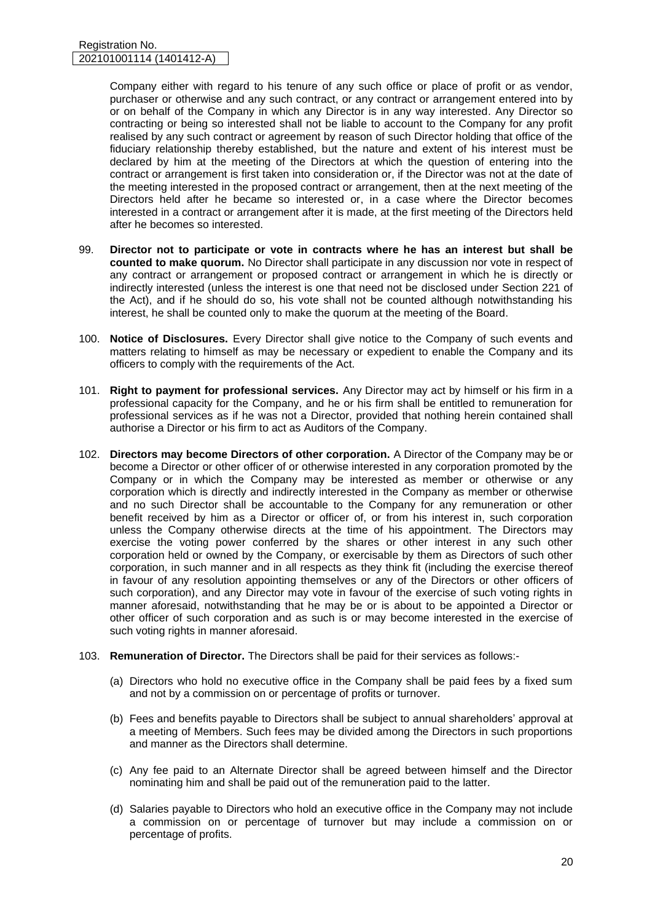Company either with regard to his tenure of any such office or place of profit or as vendor, purchaser or otherwise and any such contract, or any contract or arrangement entered into by or on behalf of the Company in which any Director is in any way interested. Any Director so contracting or being so interested shall not be liable to account to the Company for any profit realised by any such contract or agreement by reason of such Director holding that office of the fiduciary relationship thereby established, but the nature and extent of his interest must be declared by him at the meeting of the Directors at which the question of entering into the contract or arrangement is first taken into consideration or, if the Director was not at the date of the meeting interested in the proposed contract or arrangement, then at the next meeting of the Directors held after he became so interested or, in a case where the Director becomes interested in a contract or arrangement after it is made, at the first meeting of the Directors held after he becomes so interested.

- 99. **Director not to participate or vote in contracts where he has an interest but shall be counted to make quorum.** No Director shall participate in any discussion nor vote in respect of any contract or arrangement or proposed contract or arrangement in which he is directly or indirectly interested (unless the interest is one that need not be disclosed under Section 221 of the Act), and if he should do so, his vote shall not be counted although notwithstanding his interest, he shall be counted only to make the quorum at the meeting of the Board.
- 100. **Notice of Disclosures.** Every Director shall give notice to the Company of such events and matters relating to himself as may be necessary or expedient to enable the Company and its officers to comply with the requirements of the Act.
- 101. **Right to payment for professional services.** Any Director may act by himself or his firm in a professional capacity for the Company, and he or his firm shall be entitled to remuneration for professional services as if he was not a Director, provided that nothing herein contained shall authorise a Director or his firm to act as Auditors of the Company.
- 102. **Directors may become Directors of other corporation.** A Director of the Company may be or become a Director or other officer of or otherwise interested in any corporation promoted by the Company or in which the Company may be interested as member or otherwise or any corporation which is directly and indirectly interested in the Company as member or otherwise and no such Director shall be accountable to the Company for any remuneration or other benefit received by him as a Director or officer of, or from his interest in, such corporation unless the Company otherwise directs at the time of his appointment. The Directors may exercise the voting power conferred by the shares or other interest in any such other corporation held or owned by the Company, or exercisable by them as Directors of such other corporation, in such manner and in all respects as they think fit (including the exercise thereof in favour of any resolution appointing themselves or any of the Directors or other officers of such corporation), and any Director may vote in favour of the exercise of such voting rights in manner aforesaid, notwithstanding that he may be or is about to be appointed a Director or other officer of such corporation and as such is or may become interested in the exercise of such voting rights in manner aforesaid.
- 103. **Remuneration of Director.** The Directors shall be paid for their services as follows:-
	- (a) Directors who hold no executive office in the Company shall be paid fees by a fixed sum and not by a commission on or percentage of profits or turnover.
	- (b) Fees and benefits payable to Directors shall be subject to annual shareholders' approval at a meeting of Members. Such fees may be divided among the Directors in such proportions and manner as the Directors shall determine.
	- (c) Any fee paid to an Alternate Director shall be agreed between himself and the Director nominating him and shall be paid out of the remuneration paid to the latter.
	- (d) Salaries payable to Directors who hold an executive office in the Company may not include a commission on or percentage of turnover but may include a commission on or percentage of profits.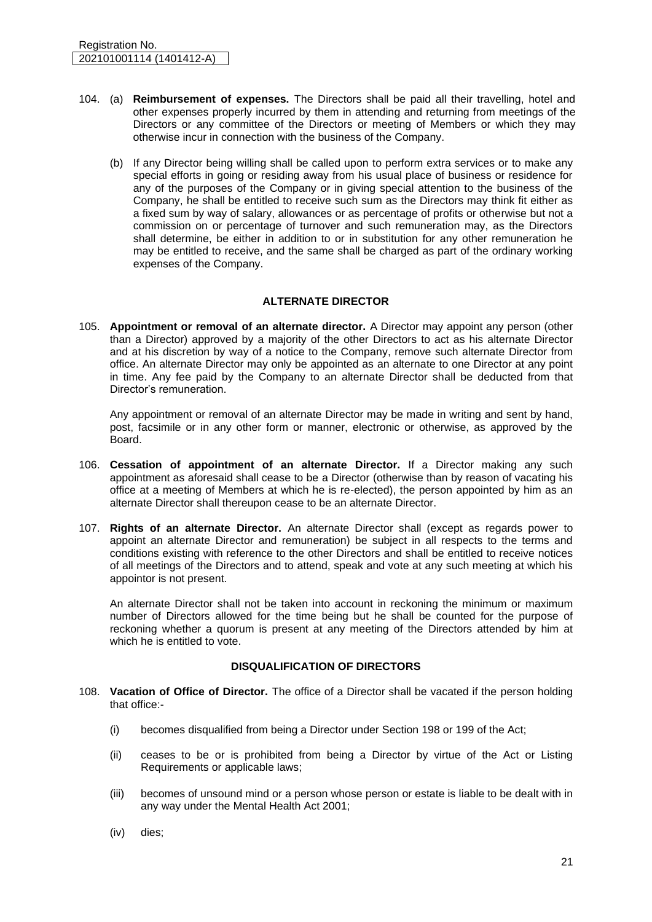- 104. (a) **Reimbursement of expenses.** The Directors shall be paid all their travelling, hotel and other expenses properly incurred by them in attending and returning from meetings of the Directors or any committee of the Directors or meeting of Members or which they may otherwise incur in connection with the business of the Company.
	- (b) If any Director being willing shall be called upon to perform extra services or to make any special efforts in going or residing away from his usual place of business or residence for any of the purposes of the Company or in giving special attention to the business of the Company, he shall be entitled to receive such sum as the Directors may think fit either as a fixed sum by way of salary, allowances or as percentage of profits or otherwise but not a commission on or percentage of turnover and such remuneration may, as the Directors shall determine, be either in addition to or in substitution for any other remuneration he may be entitled to receive, and the same shall be charged as part of the ordinary working expenses of the Company.

# **ALTERNATE DIRECTOR**

105. **Appointment or removal of an alternate director.** A Director may appoint any person (other than a Director) approved by a majority of the other Directors to act as his alternate Director and at his discretion by way of a notice to the Company, remove such alternate Director from office. An alternate Director may only be appointed as an alternate to one Director at any point in time. Any fee paid by the Company to an alternate Director shall be deducted from that Director's remuneration.

Any appointment or removal of an alternate Director may be made in writing and sent by hand, post, facsimile or in any other form or manner, electronic or otherwise, as approved by the Board.

- 106. **Cessation of appointment of an alternate Director.** If a Director making any such appointment as aforesaid shall cease to be a Director (otherwise than by reason of vacating his office at a meeting of Members at which he is re-elected), the person appointed by him as an alternate Director shall thereupon cease to be an alternate Director.
- 107. **Rights of an alternate Director.** An alternate Director shall (except as regards power to appoint an alternate Director and remuneration) be subject in all respects to the terms and conditions existing with reference to the other Directors and shall be entitled to receive notices of all meetings of the Directors and to attend, speak and vote at any such meeting at which his appointor is not present.

An alternate Director shall not be taken into account in reckoning the minimum or maximum number of Directors allowed for the time being but he shall be counted for the purpose of reckoning whether a quorum is present at any meeting of the Directors attended by him at which he is entitled to vote.

# **DISQUALIFICATION OF DIRECTORS**

- 108. **Vacation of Office of Director.** The office of a Director shall be vacated if the person holding that office:-
	- (i) becomes disqualified from being a Director under Section 198 or 199 of the Act;
	- (ii) ceases to be or is prohibited from being a Director by virtue of the Act or Listing Requirements or applicable laws;
	- (iii) becomes of unsound mind or a person whose person or estate is liable to be dealt with in any way under the Mental Health Act 2001;
	- (iv) dies;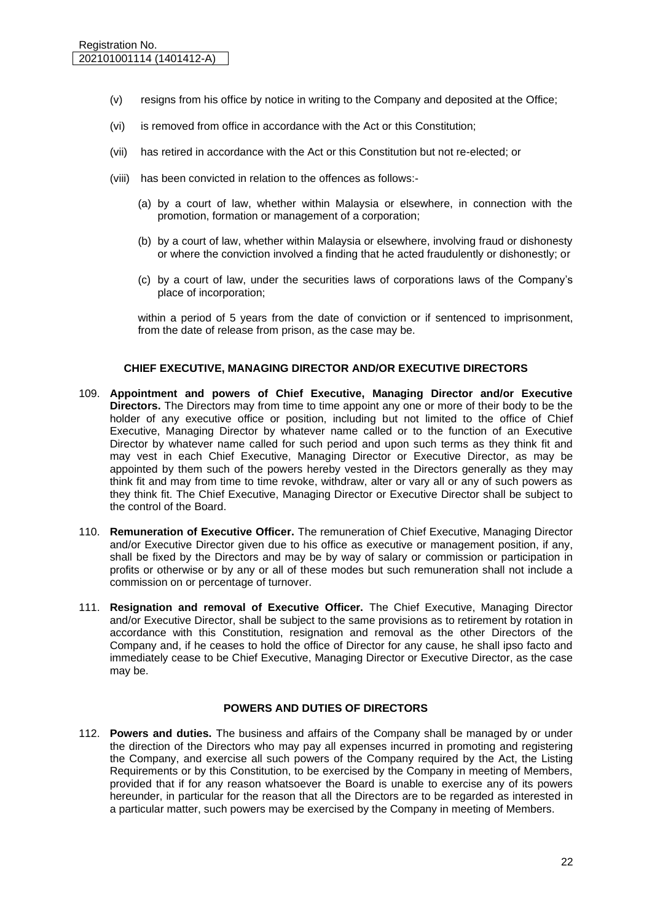- (v) resigns from his office by notice in writing to the Company and deposited at the Office;
- (vi) is removed from office in accordance with the Act or this Constitution;
- (vii) has retired in accordance with the Act or this Constitution but not re-elected; or
- (viii) has been convicted in relation to the offences as follows:-
	- (a) by a court of law, whether within Malaysia or elsewhere, in connection with the promotion, formation or management of a corporation;
	- (b) by a court of law, whether within Malaysia or elsewhere, involving fraud or dishonesty or where the conviction involved a finding that he acted fraudulently or dishonestly; or
	- (c) by a court of law, under the securities laws of corporations laws of the Company's place of incorporation;

within a period of 5 years from the date of conviction or if sentenced to imprisonment, from the date of release from prison, as the case may be.

#### **CHIEF EXECUTIVE, MANAGING DIRECTOR AND/OR EXECUTIVE DIRECTORS**

- 109. **Appointment and powers of Chief Executive, Managing Director and/or Executive Directors.** The Directors may from time to time appoint any one or more of their body to be the holder of any executive office or position, including but not limited to the office of Chief Executive, Managing Director by whatever name called or to the function of an Executive Director by whatever name called for such period and upon such terms as they think fit and may vest in each Chief Executive, Managing Director or Executive Director, as may be appointed by them such of the powers hereby vested in the Directors generally as they may think fit and may from time to time revoke, withdraw, alter or vary all or any of such powers as they think fit. The Chief Executive, Managing Director or Executive Director shall be subject to the control of the Board.
- 110. **Remuneration of Executive Officer.** The remuneration of Chief Executive, Managing Director and/or Executive Director given due to his office as executive or management position, if any, shall be fixed by the Directors and may be by way of salary or commission or participation in profits or otherwise or by any or all of these modes but such remuneration shall not include a commission on or percentage of turnover.
- 111. **Resignation and removal of Executive Officer.** The Chief Executive, Managing Director and/or Executive Director, shall be subject to the same provisions as to retirement by rotation in accordance with this Constitution, resignation and removal as the other Directors of the Company and, if he ceases to hold the office of Director for any cause, he shall ipso facto and immediately cease to be Chief Executive, Managing Director or Executive Director, as the case may be.

# **POWERS AND DUTIES OF DIRECTORS**

112. **Powers and duties.** The business and affairs of the Company shall be managed by or under the direction of the Directors who may pay all expenses incurred in promoting and registering the Company, and exercise all such powers of the Company required by the Act, the Listing Requirements or by this Constitution, to be exercised by the Company in meeting of Members, provided that if for any reason whatsoever the Board is unable to exercise any of its powers hereunder, in particular for the reason that all the Directors are to be regarded as interested in a particular matter, such powers may be exercised by the Company in meeting of Members.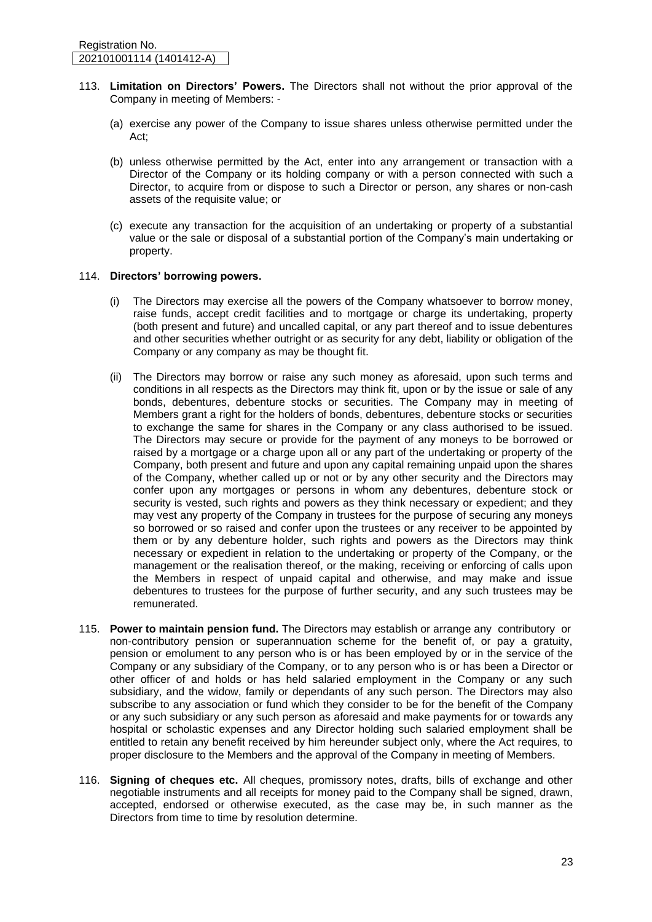- 113. **Limitation on Directors' Powers.** The Directors shall not without the prior approval of the Company in meeting of Members: -
	- (a) exercise any power of the Company to issue shares unless otherwise permitted under the Act;
	- (b) unless otherwise permitted by the Act, enter into any arrangement or transaction with a Director of the Company or its holding company or with a person connected with such a Director, to acquire from or dispose to such a Director or person, any shares or non-cash assets of the requisite value; or
	- (c) execute any transaction for the acquisition of an undertaking or property of a substantial value or the sale or disposal of a substantial portion of the Company's main undertaking or property.

#### 114. **Directors' borrowing powers.**

- (i) The Directors may exercise all the powers of the Company whatsoever to borrow money, raise funds, accept credit facilities and to mortgage or charge its undertaking, property (both present and future) and uncalled capital, or any part thereof and to issue debentures and other securities whether outright or as security for any debt, liability or obligation of the Company or any company as may be thought fit.
- (ii) The Directors may borrow or raise any such money as aforesaid, upon such terms and conditions in all respects as the Directors may think fit, upon or by the issue or sale of any bonds, debentures, debenture stocks or securities. The Company may in meeting of Members grant a right for the holders of bonds, debentures, debenture stocks or securities to exchange the same for shares in the Company or any class authorised to be issued. The Directors may secure or provide for the payment of any moneys to be borrowed or raised by a mortgage or a charge upon all or any part of the undertaking or property of the Company, both present and future and upon any capital remaining unpaid upon the shares of the Company, whether called up or not or by any other security and the Directors may confer upon any mortgages or persons in whom any debentures, debenture stock or security is vested, such rights and powers as they think necessary or expedient; and they may vest any property of the Company in trustees for the purpose of securing any moneys so borrowed or so raised and confer upon the trustees or any receiver to be appointed by them or by any debenture holder, such rights and powers as the Directors may think necessary or expedient in relation to the undertaking or property of the Company, or the management or the realisation thereof, or the making, receiving or enforcing of calls upon the Members in respect of unpaid capital and otherwise, and may make and issue debentures to trustees for the purpose of further security, and any such trustees may be remunerated.
- 115. **Power to maintain pension fund.** The Directors may establish or arrange any contributory or non-contributory pension or superannuation scheme for the benefit of, or pay a gratuity, pension or emolument to any person who is or has been employed by or in the service of the Company or any subsidiary of the Company, or to any person who is or has been a Director or other officer of and holds or has held salaried employment in the Company or any such subsidiary, and the widow, family or dependants of any such person. The Directors may also subscribe to any association or fund which they consider to be for the benefit of the Company or any such subsidiary or any such person as aforesaid and make payments for or towards any hospital or scholastic expenses and any Director holding such salaried employment shall be entitled to retain any benefit received by him hereunder subject only, where the Act requires, to proper disclosure to the Members and the approval of the Company in meeting of Members.
- 116. **Signing of cheques etc.** All cheques, promissory notes, drafts, bills of exchange and other negotiable instruments and all receipts for money paid to the Company shall be signed, drawn, accepted, endorsed or otherwise executed, as the case may be, in such manner as the Directors from time to time by resolution determine.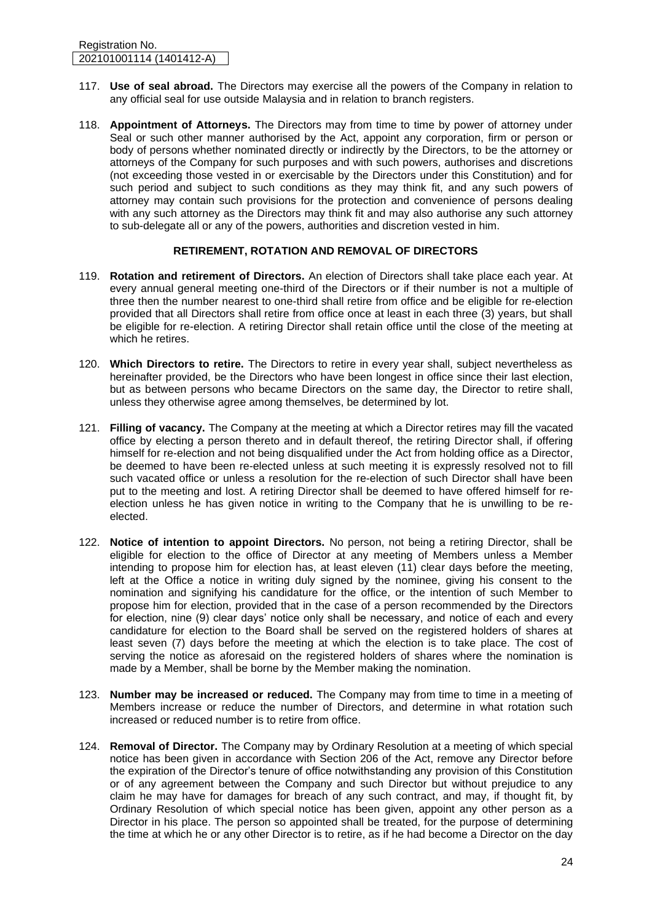- 117. **Use of seal abroad.** The Directors may exercise all the powers of the Company in relation to any official seal for use outside Malaysia and in relation to branch registers.
- 118. **Appointment of Attorneys.** The Directors may from time to time by power of attorney under Seal or such other manner authorised by the Act, appoint any corporation, firm or person or body of persons whether nominated directly or indirectly by the Directors, to be the attorney or attorneys of the Company for such purposes and with such powers, authorises and discretions (not exceeding those vested in or exercisable by the Directors under this Constitution) and for such period and subject to such conditions as they may think fit, and any such powers of attorney may contain such provisions for the protection and convenience of persons dealing with any such attorney as the Directors may think fit and may also authorise any such attorney to sub-delegate all or any of the powers, authorities and discretion vested in him.

#### **RETIREMENT, ROTATION AND REMOVAL OF DIRECTORS**

- 119. **Rotation and retirement of Directors.** An election of Directors shall take place each year. At every annual general meeting one-third of the Directors or if their number is not a multiple of three then the number nearest to one-third shall retire from office and be eligible for re-election provided that all Directors shall retire from office once at least in each three (3) years, but shall be eligible for re-election. A retiring Director shall retain office until the close of the meeting at which he retires.
- 120. **Which Directors to retire.** The Directors to retire in every year shall, subject nevertheless as hereinafter provided, be the Directors who have been longest in office since their last election, but as between persons who became Directors on the same day, the Director to retire shall, unless they otherwise agree among themselves, be determined by lot.
- 121. **Filling of vacancy.** The Company at the meeting at which a Director retires may fill the vacated office by electing a person thereto and in default thereof, the retiring Director shall, if offering himself for re-election and not being disqualified under the Act from holding office as a Director, be deemed to have been re-elected unless at such meeting it is expressly resolved not to fill such vacated office or unless a resolution for the re-election of such Director shall have been put to the meeting and lost. A retiring Director shall be deemed to have offered himself for reelection unless he has given notice in writing to the Company that he is unwilling to be reelected.
- 122. **Notice of intention to appoint Directors.** No person, not being a retiring Director, shall be eligible for election to the office of Director at any meeting of Members unless a Member intending to propose him for election has, at least eleven (11) clear days before the meeting, left at the Office a notice in writing duly signed by the nominee, giving his consent to the nomination and signifying his candidature for the office, or the intention of such Member to propose him for election, provided that in the case of a person recommended by the Directors for election, nine (9) clear days' notice only shall be necessary, and notice of each and every candidature for election to the Board shall be served on the registered holders of shares at least seven (7) days before the meeting at which the election is to take place. The cost of serving the notice as aforesaid on the registered holders of shares where the nomination is made by a Member, shall be borne by the Member making the nomination.
- 123. **Number may be increased or reduced.** The Company may from time to time in a meeting of Members increase or reduce the number of Directors, and determine in what rotation such increased or reduced number is to retire from office.
- 124. **Removal of Director.** The Company may by Ordinary Resolution at a meeting of which special notice has been given in accordance with Section 206 of the Act, remove any Director before the expiration of the Director's tenure of office notwithstanding any provision of this Constitution or of any agreement between the Company and such Director but without prejudice to any claim he may have for damages for breach of any such contract, and may, if thought fit, by Ordinary Resolution of which special notice has been given, appoint any other person as a Director in his place. The person so appointed shall be treated, for the purpose of determining the time at which he or any other Director is to retire, as if he had become a Director on the day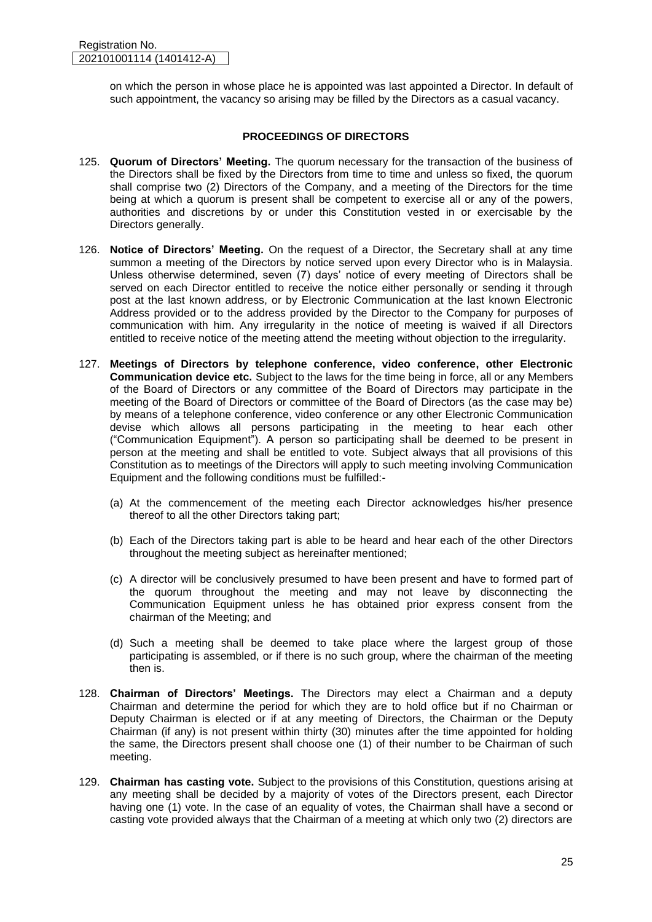on which the person in whose place he is appointed was last appointed a Director. In default of such appointment, the vacancy so arising may be filled by the Directors as a casual vacancy.

# **PROCEEDINGS OF DIRECTORS**

- 125. **Quorum of Directors' Meeting.** The quorum necessary for the transaction of the business of the Directors shall be fixed by the Directors from time to time and unless so fixed, the quorum shall comprise two (2) Directors of the Company, and a meeting of the Directors for the time being at which a quorum is present shall be competent to exercise all or any of the powers, authorities and discretions by or under this Constitution vested in or exercisable by the Directors generally.
- 126. **Notice of Directors' Meeting.** On the request of a Director, the Secretary shall at any time summon a meeting of the Directors by notice served upon every Director who is in Malaysia. Unless otherwise determined, seven (7) days' notice of every meeting of Directors shall be served on each Director entitled to receive the notice either personally or sending it through post at the last known address, or by Electronic Communication at the last known Electronic Address provided or to the address provided by the Director to the Company for purposes of communication with him. Any irregularity in the notice of meeting is waived if all Directors entitled to receive notice of the meeting attend the meeting without objection to the irregularity.
- 127. **Meetings of Directors by telephone conference, video conference, other Electronic Communication device etc.** Subject to the laws for the time being in force, all or any Members of the Board of Directors or any committee of the Board of Directors may participate in the meeting of the Board of Directors or committee of the Board of Directors (as the case may be) by means of a telephone conference, video conference or any other Electronic Communication devise which allows all persons participating in the meeting to hear each other ("Communication Equipment"). A person so participating shall be deemed to be present in person at the meeting and shall be entitled to vote. Subject always that all provisions of this Constitution as to meetings of the Directors will apply to such meeting involving Communication Equipment and the following conditions must be fulfilled:-
	- (a) At the commencement of the meeting each Director acknowledges his/her presence thereof to all the other Directors taking part;
	- (b) Each of the Directors taking part is able to be heard and hear each of the other Directors throughout the meeting subject as hereinafter mentioned;
	- (c) A director will be conclusively presumed to have been present and have to formed part of the quorum throughout the meeting and may not leave by disconnecting the Communication Equipment unless he has obtained prior express consent from the chairman of the Meeting; and
	- (d) Such a meeting shall be deemed to take place where the largest group of those participating is assembled, or if there is no such group, where the chairman of the meeting then is.
- 128. **Chairman of Directors' Meetings.** The Directors may elect a Chairman and a deputy Chairman and determine the period for which they are to hold office but if no Chairman or Deputy Chairman is elected or if at any meeting of Directors, the Chairman or the Deputy Chairman (if any) is not present within thirty (30) minutes after the time appointed for holding the same, the Directors present shall choose one (1) of their number to be Chairman of such meeting.
- 129. **Chairman has casting vote.** Subject to the provisions of this Constitution, questions arising at any meeting shall be decided by a majority of votes of the Directors present, each Director having one (1) vote. In the case of an equality of votes, the Chairman shall have a second or casting vote provided always that the Chairman of a meeting at which only two (2) directors are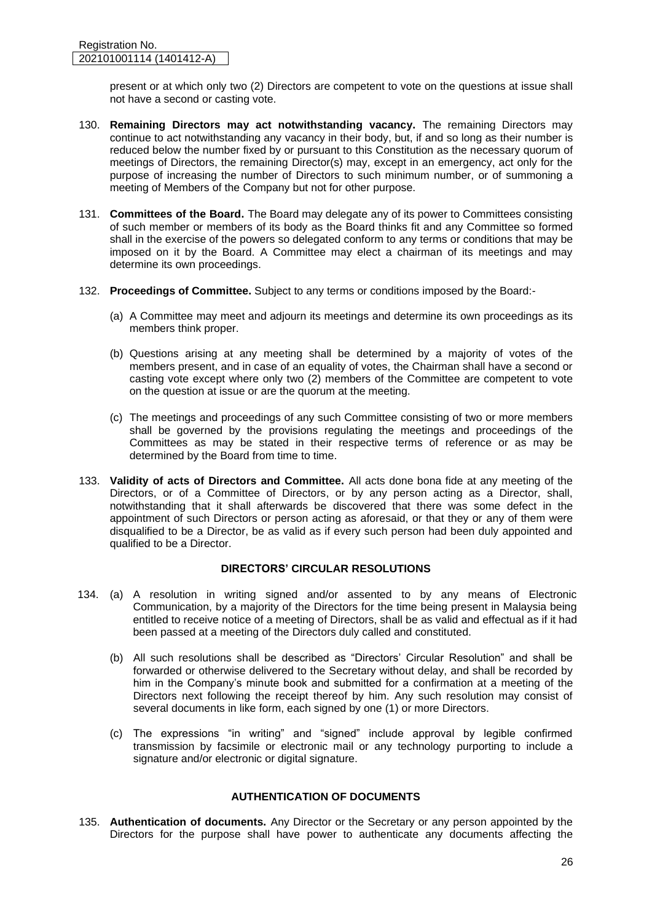present or at which only two (2) Directors are competent to vote on the questions at issue shall not have a second or casting vote.

- 130. **Remaining Directors may act notwithstanding vacancy.** The remaining Directors may continue to act notwithstanding any vacancy in their body, but, if and so long as their number is reduced below the number fixed by or pursuant to this Constitution as the necessary quorum of meetings of Directors, the remaining Director(s) may, except in an emergency, act only for the purpose of increasing the number of Directors to such minimum number, or of summoning a meeting of Members of the Company but not for other purpose.
- 131. **Committees of the Board.** The Board may delegate any of its power to Committees consisting of such member or members of its body as the Board thinks fit and any Committee so formed shall in the exercise of the powers so delegated conform to any terms or conditions that may be imposed on it by the Board. A Committee may elect a chairman of its meetings and may determine its own proceedings.
- 132. **Proceedings of Committee.** Subject to any terms or conditions imposed by the Board:-
	- (a) A Committee may meet and adjourn its meetings and determine its own proceedings as its members think proper.
	- (b) Questions arising at any meeting shall be determined by a majority of votes of the members present, and in case of an equality of votes, the Chairman shall have a second or casting vote except where only two (2) members of the Committee are competent to vote on the question at issue or are the quorum at the meeting.
	- (c) The meetings and proceedings of any such Committee consisting of two or more members shall be governed by the provisions regulating the meetings and proceedings of the Committees as may be stated in their respective terms of reference or as may be determined by the Board from time to time.
- 133. **Validity of acts of Directors and Committee.** All acts done bona fide at any meeting of the Directors, or of a Committee of Directors, or by any person acting as a Director, shall, notwithstanding that it shall afterwards be discovered that there was some defect in the appointment of such Directors or person acting as aforesaid, or that they or any of them were disqualified to be a Director, be as valid as if every such person had been duly appointed and qualified to be a Director.

# **DIRECTORS' CIRCULAR RESOLUTIONS**

- 134. (a) A resolution in writing signed and/or assented to by any means of Electronic Communication, by a majority of the Directors for the time being present in Malaysia being entitled to receive notice of a meeting of Directors, shall be as valid and effectual as if it had been passed at a meeting of the Directors duly called and constituted.
	- (b) All such resolutions shall be described as "Directors' Circular Resolution" and shall be forwarded or otherwise delivered to the Secretary without delay, and shall be recorded by him in the Company's minute book and submitted for a confirmation at a meeting of the Directors next following the receipt thereof by him. Any such resolution may consist of several documents in like form, each signed by one (1) or more Directors.
	- (c) The expressions "in writing" and "signed" include approval by legible confirmed transmission by facsimile or electronic mail or any technology purporting to include a signature and/or electronic or digital signature.

# **AUTHENTICATION OF DOCUMENTS**

135. **Authentication of documents.** Any Director or the Secretary or any person appointed by the Directors for the purpose shall have power to authenticate any documents affecting the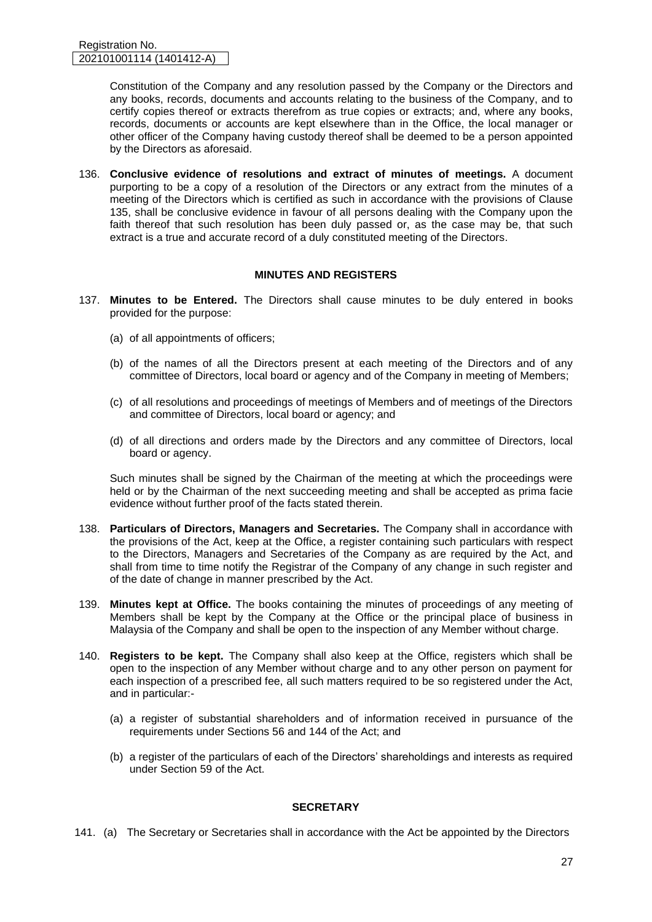Constitution of the Company and any resolution passed by the Company or the Directors and any books, records, documents and accounts relating to the business of the Company, and to certify copies thereof or extracts therefrom as true copies or extracts; and, where any books, records, documents or accounts are kept elsewhere than in the Office, the local manager or other officer of the Company having custody thereof shall be deemed to be a person appointed by the Directors as aforesaid.

136. **Conclusive evidence of resolutions and extract of minutes of meetings.** A document purporting to be a copy of a resolution of the Directors or any extract from the minutes of a meeting of the Directors which is certified as such in accordance with the provisions of Clause 135, shall be conclusive evidence in favour of all persons dealing with the Company upon the faith thereof that such resolution has been duly passed or, as the case may be, that such extract is a true and accurate record of a duly constituted meeting of the Directors.

#### **MINUTES AND REGISTERS**

- 137. **Minutes to be Entered.** The Directors shall cause minutes to be duly entered in books provided for the purpose:
	- (a) of all appointments of officers;
	- (b) of the names of all the Directors present at each meeting of the Directors and of any committee of Directors, local board or agency and of the Company in meeting of Members;
	- (c) of all resolutions and proceedings of meetings of Members and of meetings of the Directors and committee of Directors, local board or agency; and
	- (d) of all directions and orders made by the Directors and any committee of Directors, local board or agency.

Such minutes shall be signed by the Chairman of the meeting at which the proceedings were held or by the Chairman of the next succeeding meeting and shall be accepted as prima facie evidence without further proof of the facts stated therein.

- 138. **Particulars of Directors, Managers and Secretaries.** The Company shall in accordance with the provisions of the Act, keep at the Office, a register containing such particulars with respect to the Directors, Managers and Secretaries of the Company as are required by the Act, and shall from time to time notify the Registrar of the Company of any change in such register and of the date of change in manner prescribed by the Act.
- 139. **Minutes kept at Office.** The books containing the minutes of proceedings of any meeting of Members shall be kept by the Company at the Office or the principal place of business in Malaysia of the Company and shall be open to the inspection of any Member without charge.
- 140. **Registers to be kept.** The Company shall also keep at the Office, registers which shall be open to the inspection of any Member without charge and to any other person on payment for each inspection of a prescribed fee, all such matters required to be so registered under the Act, and in particular:-
	- (a) a register of substantial shareholders and of information received in pursuance of the requirements under Sections 56 and 144 of the Act; and
	- (b) a register of the particulars of each of the Directors' shareholdings and interests as required under Section 59 of the Act.

# **SECRETARY**

141. (a) The Secretary or Secretaries shall in accordance with the Act be appointed by the Directors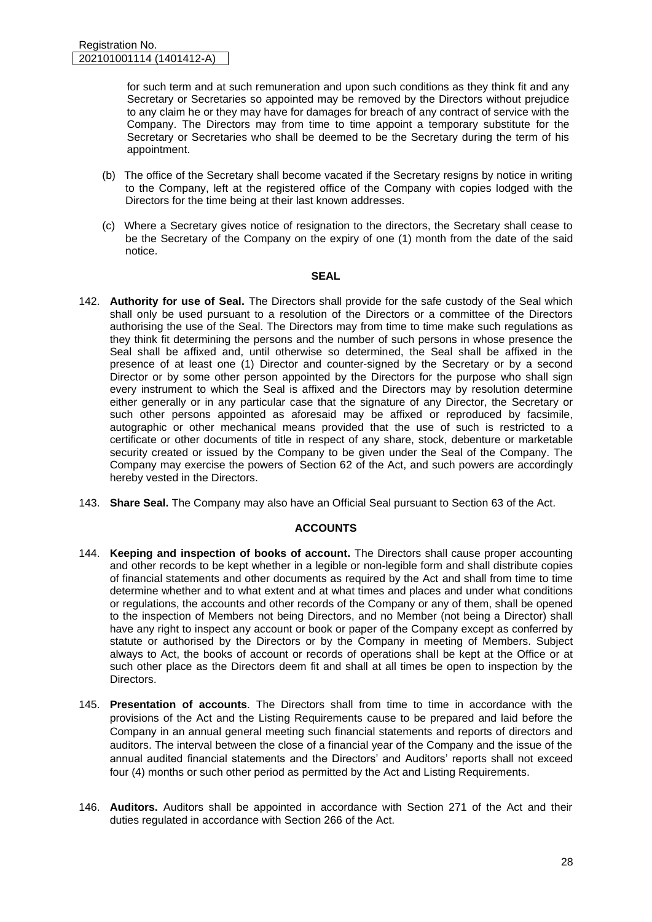for such term and at such remuneration and upon such conditions as they think fit and any Secretary or Secretaries so appointed may be removed by the Directors without prejudice to any claim he or they may have for damages for breach of any contract of service with the Company. The Directors may from time to time appoint a temporary substitute for the Secretary or Secretaries who shall be deemed to be the Secretary during the term of his appointment.

- (b) The office of the Secretary shall become vacated if the Secretary resigns by notice in writing to the Company, left at the registered office of the Company with copies lodged with the Directors for the time being at their last known addresses.
- (c) Where a Secretary gives notice of resignation to the directors, the Secretary shall cease to be the Secretary of the Company on the expiry of one (1) month from the date of the said notice.

#### **SEAL**

- 142. **Authority for use of Seal.** The Directors shall provide for the safe custody of the Seal which shall only be used pursuant to a resolution of the Directors or a committee of the Directors authorising the use of the Seal. The Directors may from time to time make such regulations as they think fit determining the persons and the number of such persons in whose presence the Seal shall be affixed and, until otherwise so determined, the Seal shall be affixed in the presence of at least one (1) Director and counter-signed by the Secretary or by a second Director or by some other person appointed by the Directors for the purpose who shall sign every instrument to which the Seal is affixed and the Directors may by resolution determine either generally or in any particular case that the signature of any Director, the Secretary or such other persons appointed as aforesaid may be affixed or reproduced by facsimile, autographic or other mechanical means provided that the use of such is restricted to a certificate or other documents of title in respect of any share, stock, debenture or marketable security created or issued by the Company to be given under the Seal of the Company. The Company may exercise the powers of Section 62 of the Act, and such powers are accordingly hereby vested in the Directors.
- 143. **Share Seal.** The Company may also have an Official Seal pursuant to Section 63 of the Act.

# **ACCOUNTS**

- 144. **Keeping and inspection of books of account.** The Directors shall cause proper accounting and other records to be kept whether in a legible or non-legible form and shall distribute copies of financial statements and other documents as required by the Act and shall from time to time determine whether and to what extent and at what times and places and under what conditions or regulations, the accounts and other records of the Company or any of them, shall be opened to the inspection of Members not being Directors, and no Member (not being a Director) shall have any right to inspect any account or book or paper of the Company except as conferred by statute or authorised by the Directors or by the Company in meeting of Members. Subject always to Act, the books of account or records of operations shall be kept at the Office or at such other place as the Directors deem fit and shall at all times be open to inspection by the **Directors**
- 145. **Presentation of accounts**. The Directors shall from time to time in accordance with the provisions of the Act and the Listing Requirements cause to be prepared and laid before the Company in an annual general meeting such financial statements and reports of directors and auditors. The interval between the close of a financial year of the Company and the issue of the annual audited financial statements and the Directors' and Auditors' reports shall not exceed four (4) months or such other period as permitted by the Act and Listing Requirements.
- 146. **Auditors.** Auditors shall be appointed in accordance with Section 271 of the Act and their duties regulated in accordance with Section 266 of the Act.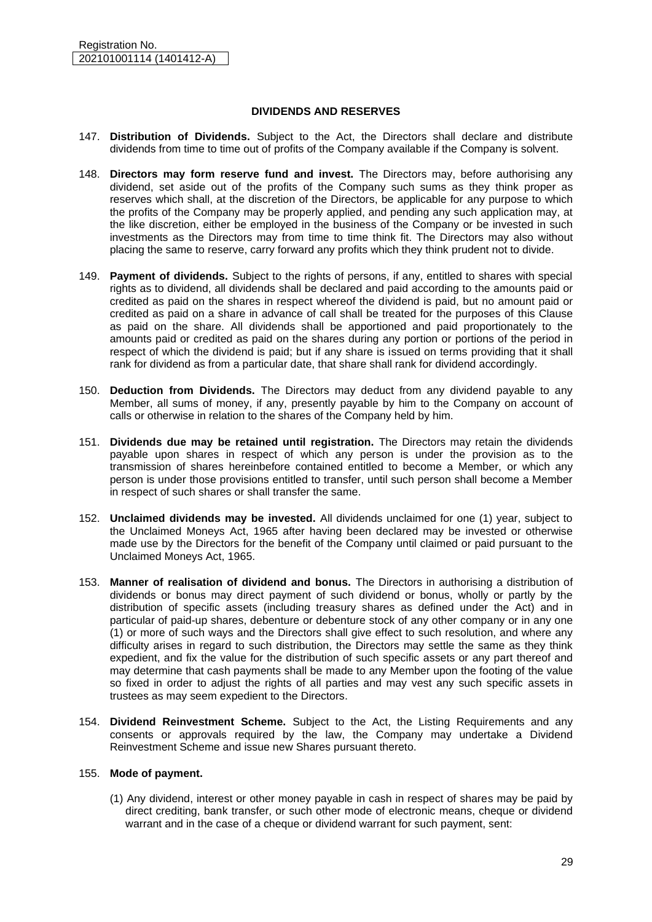#### **DIVIDENDS AND RESERVES**

- 147. **Distribution of Dividends.** Subject to the Act, the Directors shall declare and distribute dividends from time to time out of profits of the Company available if the Company is solvent.
- 148. **Directors may form reserve fund and invest.** The Directors may, before authorising any dividend, set aside out of the profits of the Company such sums as they think proper as reserves which shall, at the discretion of the Directors, be applicable for any purpose to which the profits of the Company may be properly applied, and pending any such application may, at the like discretion, either be employed in the business of the Company or be invested in such investments as the Directors may from time to time think fit. The Directors may also without placing the same to reserve, carry forward any profits which they think prudent not to divide.
- 149. **Payment of dividends.** Subject to the rights of persons, if any, entitled to shares with special rights as to dividend, all dividends shall be declared and paid according to the amounts paid or credited as paid on the shares in respect whereof the dividend is paid, but no amount paid or credited as paid on a share in advance of call shall be treated for the purposes of this Clause as paid on the share. All dividends shall be apportioned and paid proportionately to the amounts paid or credited as paid on the shares during any portion or portions of the period in respect of which the dividend is paid; but if any share is issued on terms providing that it shall rank for dividend as from a particular date, that share shall rank for dividend accordingly.
- 150. **Deduction from Dividends.** The Directors may deduct from any dividend payable to any Member, all sums of money, if any, presently payable by him to the Company on account of calls or otherwise in relation to the shares of the Company held by him.
- 151. **Dividends due may be retained until registration.** The Directors may retain the dividends payable upon shares in respect of which any person is under the provision as to the transmission of shares hereinbefore contained entitled to become a Member, or which any person is under those provisions entitled to transfer, until such person shall become a Member in respect of such shares or shall transfer the same.
- 152. **Unclaimed dividends may be invested.** All dividends unclaimed for one (1) year, subject to the Unclaimed Moneys Act, 1965 after having been declared may be invested or otherwise made use by the Directors for the benefit of the Company until claimed or paid pursuant to the Unclaimed Moneys Act, 1965.
- 153. **Manner of realisation of dividend and bonus.** The Directors in authorising a distribution of dividends or bonus may direct payment of such dividend or bonus, wholly or partly by the distribution of specific assets (including treasury shares as defined under the Act) and in particular of paid-up shares, debenture or debenture stock of any other company or in any one (1) or more of such ways and the Directors shall give effect to such resolution, and where any difficulty arises in regard to such distribution, the Directors may settle the same as they think expedient, and fix the value for the distribution of such specific assets or any part thereof and may determine that cash payments shall be made to any Member upon the footing of the value so fixed in order to adjust the rights of all parties and may vest any such specific assets in trustees as may seem expedient to the Directors.
- 154. **Dividend Reinvestment Scheme.** Subject to the Act, the Listing Requirements and any consents or approvals required by the law, the Company may undertake a Dividend Reinvestment Scheme and issue new Shares pursuant thereto.

#### 155. **Mode of payment.**

(1) Any dividend, interest or other money payable in cash in respect of shares may be paid by direct crediting, bank transfer, or such other mode of electronic means, cheque or dividend warrant and in the case of a cheque or dividend warrant for such payment, sent: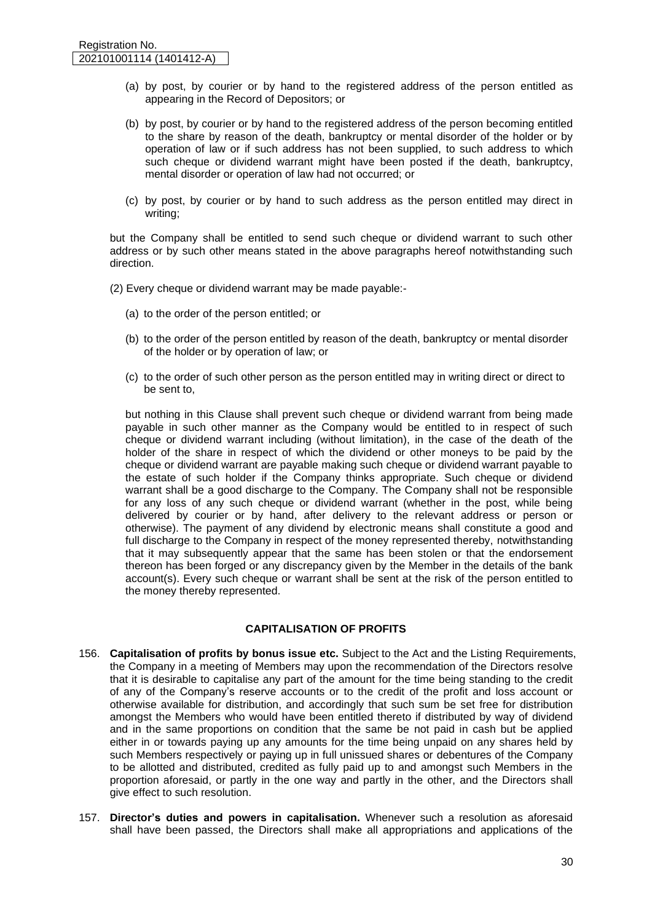- (a) by post, by courier or by hand to the registered address of the person entitled as appearing in the Record of Depositors; or
- (b) by post, by courier or by hand to the registered address of the person becoming entitled to the share by reason of the death, bankruptcy or mental disorder of the holder or by operation of law or if such address has not been supplied, to such address to which such cheque or dividend warrant might have been posted if the death, bankruptcy, mental disorder or operation of law had not occurred; or
- (c) by post, by courier or by hand to such address as the person entitled may direct in writing;

but the Company shall be entitled to send such cheque or dividend warrant to such other address or by such other means stated in the above paragraphs hereof notwithstanding such direction.

- (2) Every cheque or dividend warrant may be made payable:-
	- (a) to the order of the person entitled; or
	- (b) to the order of the person entitled by reason of the death, bankruptcy or mental disorder of the holder or by operation of law; or
	- (c) to the order of such other person as the person entitled may in writing direct or direct to be sent to,

but nothing in this Clause shall prevent such cheque or dividend warrant from being made payable in such other manner as the Company would be entitled to in respect of such cheque or dividend warrant including (without limitation), in the case of the death of the holder of the share in respect of which the dividend or other moneys to be paid by the cheque or dividend warrant are payable making such cheque or dividend warrant payable to the estate of such holder if the Company thinks appropriate. Such cheque or dividend warrant shall be a good discharge to the Company. The Company shall not be responsible for any loss of any such cheque or dividend warrant (whether in the post, while being delivered by courier or by hand, after delivery to the relevant address or person or otherwise). The payment of any dividend by electronic means shall constitute a good and full discharge to the Company in respect of the money represented thereby, notwithstanding that it may subsequently appear that the same has been stolen or that the endorsement thereon has been forged or any discrepancy given by the Member in the details of the bank account(s). Every such cheque or warrant shall be sent at the risk of the person entitled to the money thereby represented.

#### **CAPITALISATION OF PROFITS**

- 156. **Capitalisation of profits by bonus issue etc.** Subject to the Act and the Listing Requirements, the Company in a meeting of Members may upon the recommendation of the Directors resolve that it is desirable to capitalise any part of the amount for the time being standing to the credit of any of the Company's reserve accounts or to the credit of the profit and loss account or otherwise available for distribution, and accordingly that such sum be set free for distribution amongst the Members who would have been entitled thereto if distributed by way of dividend and in the same proportions on condition that the same be not paid in cash but be applied either in or towards paying up any amounts for the time being unpaid on any shares held by such Members respectively or paying up in full unissued shares or debentures of the Company to be allotted and distributed, credited as fully paid up to and amongst such Members in the proportion aforesaid, or partly in the one way and partly in the other, and the Directors shall give effect to such resolution.
- 157. **Director's duties and powers in capitalisation.** Whenever such a resolution as aforesaid shall have been passed, the Directors shall make all appropriations and applications of the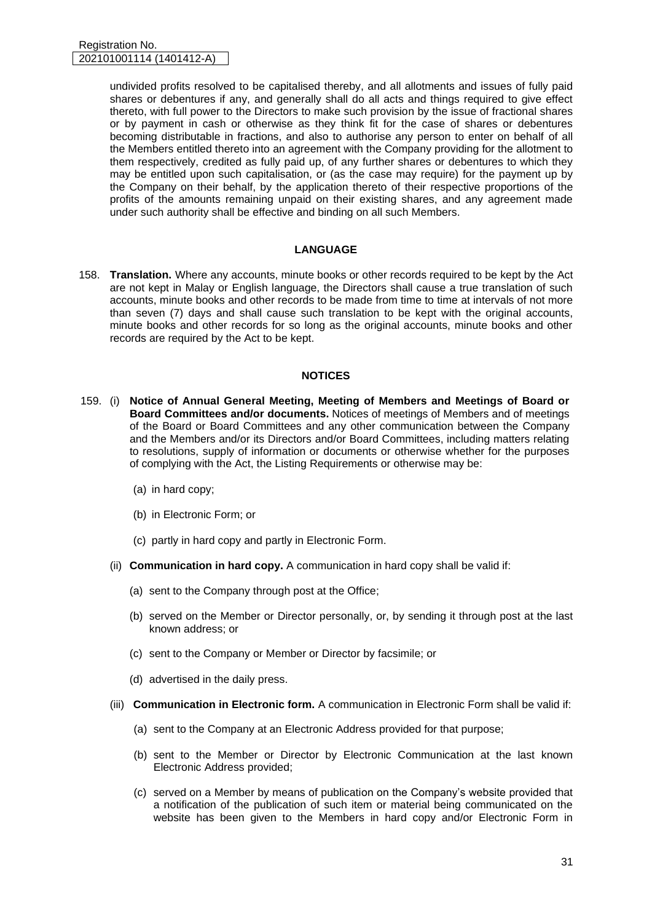undivided profits resolved to be capitalised thereby, and all allotments and issues of fully paid shares or debentures if any, and generally shall do all acts and things required to give effect thereto, with full power to the Directors to make such provision by the issue of fractional shares or by payment in cash or otherwise as they think fit for the case of shares or debentures becoming distributable in fractions, and also to authorise any person to enter on behalf of all the Members entitled thereto into an agreement with the Company providing for the allotment to them respectively, credited as fully paid up, of any further shares or debentures to which they may be entitled upon such capitalisation, or (as the case may require) for the payment up by the Company on their behalf, by the application thereto of their respective proportions of the profits of the amounts remaining unpaid on their existing shares, and any agreement made under such authority shall be effective and binding on all such Members.

#### **LANGUAGE**

158. **Translation.** Where any accounts, minute books or other records required to be kept by the Act are not kept in Malay or English language, the Directors shall cause a true translation of such accounts, minute books and other records to be made from time to time at intervals of not more than seven (7) days and shall cause such translation to be kept with the original accounts, minute books and other records for so long as the original accounts, minute books and other records are required by the Act to be kept.

#### **NOTICES**

- 159. (i) **Notice of Annual General Meeting, Meeting of Members and Meetings of Board or Board Committees and/or documents.** Notices of meetings of Members and of meetings of the Board or Board Committees and any other communication between the Company and the Members and/or its Directors and/or Board Committees, including matters relating to resolutions, supply of information or documents or otherwise whether for the purposes of complying with the Act, the Listing Requirements or otherwise may be:
	- (a) in hard copy;
	- (b) in Electronic Form; or
	- (c) partly in hard copy and partly in Electronic Form.
	- (ii) **Communication in hard copy.** A communication in hard copy shall be valid if:
		- (a) sent to the Company through post at the Office;
		- (b) served on the Member or Director personally, or, by sending it through post at the last known address; or
		- (c) sent to the Company or Member or Director by facsimile; or
		- (d) advertised in the daily press.
	- (iii) **Communication in Electronic form.** A communication in Electronic Form shall be valid if:
		- (a) sent to the Company at an Electronic Address provided for that purpose;
		- (b) sent to the Member or Director by Electronic Communication at the last known Electronic Address provided;
		- (c) served on a Member by means of publication on the Company's website provided that a notification of the publication of such item or material being communicated on the website has been given to the Members in hard copy and/or Electronic Form in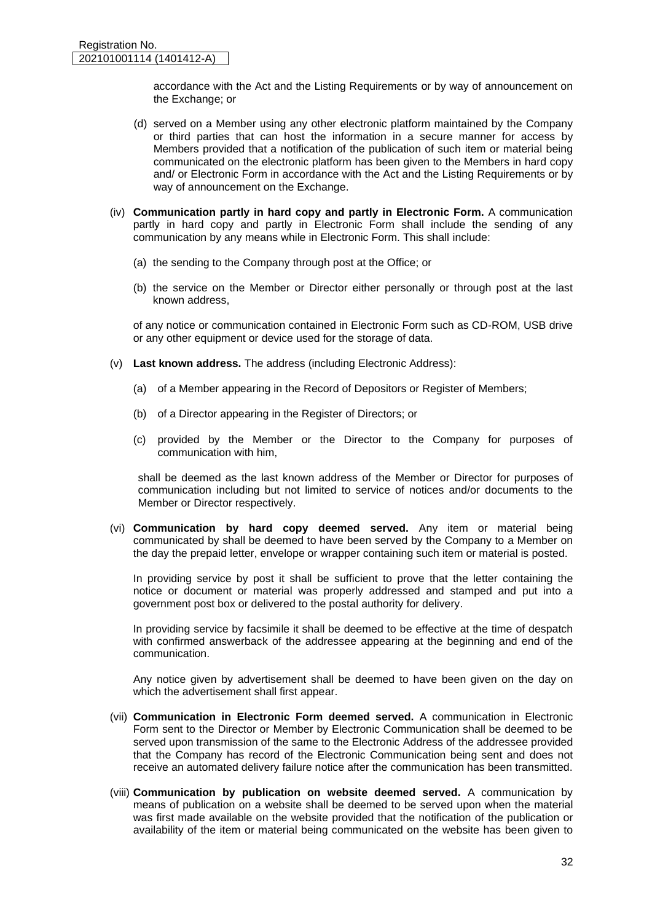accordance with the Act and the Listing Requirements or by way of announcement on the Exchange; or

- (d) served on a Member using any other electronic platform maintained by the Company or third parties that can host the information in a secure manner for access by Members provided that a notification of the publication of such item or material being communicated on the electronic platform has been given to the Members in hard copy and/ or Electronic Form in accordance with the Act and the Listing Requirements or by way of announcement on the Exchange.
- (iv) **Communication partly in hard copy and partly in Electronic Form.** A communication partly in hard copy and partly in Electronic Form shall include the sending of any communication by any means while in Electronic Form. This shall include:
	- (a) the sending to the Company through post at the Office; or
	- (b) the service on the Member or Director either personally or through post at the last known address,

of any notice or communication contained in Electronic Form such as CD-ROM, USB drive or any other equipment or device used for the storage of data.

- (v) **Last known address.** The address (including Electronic Address):
	- (a) of a Member appearing in the Record of Depositors or Register of Members;
	- (b) of a Director appearing in the Register of Directors; or
	- (c) provided by the Member or the Director to the Company for purposes of communication with him,

shall be deemed as the last known address of the Member or Director for purposes of communication including but not limited to service of notices and/or documents to the Member or Director respectively.

(vi) **Communication by hard copy deemed served.** Any item or material being communicated by shall be deemed to have been served by the Company to a Member on the day the prepaid letter, envelope or wrapper containing such item or material is posted.

In providing service by post it shall be sufficient to prove that the letter containing the notice or document or material was properly addressed and stamped and put into a government post box or delivered to the postal authority for delivery.

In providing service by facsimile it shall be deemed to be effective at the time of despatch with confirmed answerback of the addressee appearing at the beginning and end of the communication.

Any notice given by advertisement shall be deemed to have been given on the day on which the advertisement shall first appear.

- (vii) **Communication in Electronic Form deemed served.** A communication in Electronic Form sent to the Director or Member by Electronic Communication shall be deemed to be served upon transmission of the same to the Electronic Address of the addressee provided that the Company has record of the Electronic Communication being sent and does not receive an automated delivery failure notice after the communication has been transmitted.
- (viii) **Communication by publication on website deemed served.** A communication by means of publication on a website shall be deemed to be served upon when the material was first made available on the website provided that the notification of the publication or availability of the item or material being communicated on the website has been given to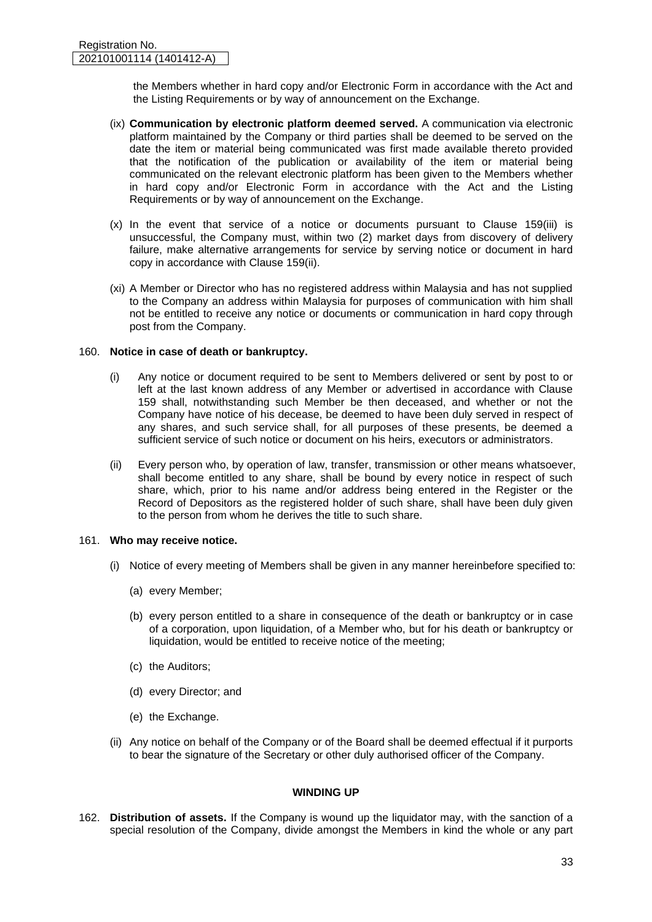the Members whether in hard copy and/or Electronic Form in accordance with the Act and the Listing Requirements or by way of announcement on the Exchange.

- (ix) **Communication by electronic platform deemed served.** A communication via electronic platform maintained by the Company or third parties shall be deemed to be served on the date the item or material being communicated was first made available thereto provided that the notification of the publication or availability of the item or material being communicated on the relevant electronic platform has been given to the Members whether in hard copy and/or Electronic Form in accordance with the Act and the Listing Requirements or by way of announcement on the Exchange.
- (x) In the event that service of a notice or documents pursuant to Clause 159(iii) is unsuccessful, the Company must, within two (2) market days from discovery of delivery failure, make alternative arrangements for service by serving notice or document in hard copy in accordance with Clause 159(ii).
- (xi) A Member or Director who has no registered address within Malaysia and has not supplied to the Company an address within Malaysia for purposes of communication with him shall not be entitled to receive any notice or documents or communication in hard copy through post from the Company.

#### 160. **Notice in case of death or bankruptcy.**

- (i) Any notice or document required to be sent to Members delivered or sent by post to or left at the last known address of any Member or advertised in accordance with Clause 159 shall, notwithstanding such Member be then deceased, and whether or not the Company have notice of his decease, be deemed to have been duly served in respect of any shares, and such service shall, for all purposes of these presents, be deemed a sufficient service of such notice or document on his heirs, executors or administrators.
- (ii) Every person who, by operation of law, transfer, transmission or other means whatsoever, shall become entitled to any share, shall be bound by every notice in respect of such share, which, prior to his name and/or address being entered in the Register or the Record of Depositors as the registered holder of such share, shall have been duly given to the person from whom he derives the title to such share.

# 161. **Who may receive notice.**

- (i) Notice of every meeting of Members shall be given in any manner hereinbefore specified to:
	- (a) every Member;
	- (b) every person entitled to a share in consequence of the death or bankruptcy or in case of a corporation, upon liquidation, of a Member who, but for his death or bankruptcy or liquidation, would be entitled to receive notice of the meeting;
	- (c) the Auditors;
	- (d) every Director; and
	- (e) the Exchange.
- (ii) Any notice on behalf of the Company or of the Board shall be deemed effectual if it purports to bear the signature of the Secretary or other duly authorised officer of the Company.

#### **WINDING UP**

162. **Distribution of assets.** If the Company is wound up the liquidator may, with the sanction of a special resolution of the Company, divide amongst the Members in kind the whole or any part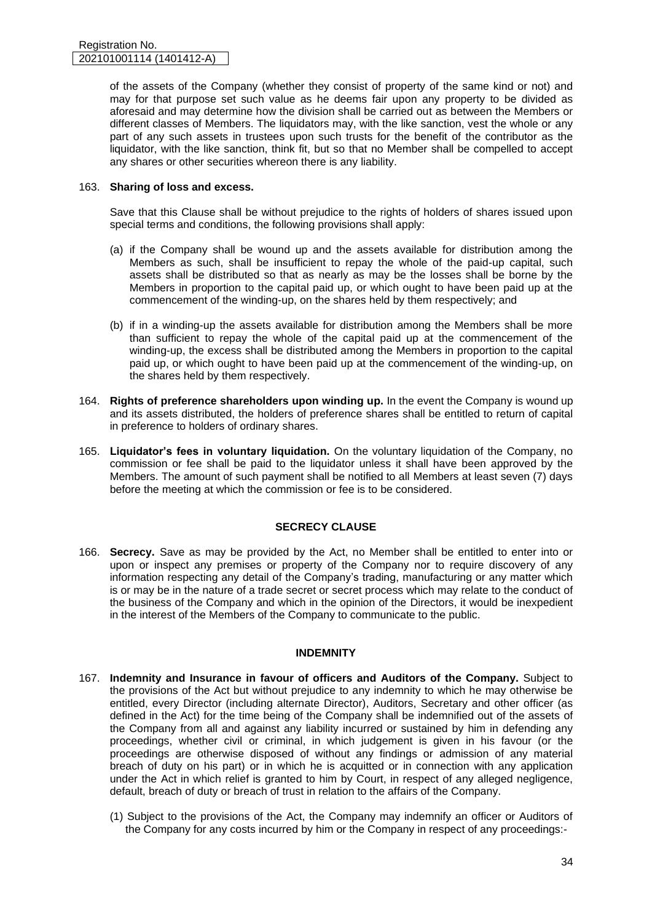of the assets of the Company (whether they consist of property of the same kind or not) and may for that purpose set such value as he deems fair upon any property to be divided as aforesaid and may determine how the division shall be carried out as between the Members or different classes of Members. The liquidators may, with the like sanction, vest the whole or any part of any such assets in trustees upon such trusts for the benefit of the contributor as the liquidator, with the like sanction, think fit, but so that no Member shall be compelled to accept any shares or other securities whereon there is any liability.

#### 163. **Sharing of loss and excess.**

Save that this Clause shall be without prejudice to the rights of holders of shares issued upon special terms and conditions, the following provisions shall apply:

- (a) if the Company shall be wound up and the assets available for distribution among the Members as such, shall be insufficient to repay the whole of the paid-up capital, such assets shall be distributed so that as nearly as may be the losses shall be borne by the Members in proportion to the capital paid up, or which ought to have been paid up at the commencement of the winding-up, on the shares held by them respectively; and
- (b) if in a winding-up the assets available for distribution among the Members shall be more than sufficient to repay the whole of the capital paid up at the commencement of the winding-up, the excess shall be distributed among the Members in proportion to the capital paid up, or which ought to have been paid up at the commencement of the winding-up, on the shares held by them respectively.
- 164. **Rights of preference shareholders upon winding up.** In the event the Company is wound up and its assets distributed, the holders of preference shares shall be entitled to return of capital in preference to holders of ordinary shares.
- 165. **Liquidator's fees in voluntary liquidation.** On the voluntary liquidation of the Company, no commission or fee shall be paid to the liquidator unless it shall have been approved by the Members. The amount of such payment shall be notified to all Members at least seven (7) days before the meeting at which the commission or fee is to be considered.

# **SECRECY CLAUSE**

166. **Secrecy.** Save as may be provided by the Act, no Member shall be entitled to enter into or upon or inspect any premises or property of the Company nor to require discovery of any information respecting any detail of the Company's trading, manufacturing or any matter which is or may be in the nature of a trade secret or secret process which may relate to the conduct of the business of the Company and which in the opinion of the Directors, it would be inexpedient in the interest of the Members of the Company to communicate to the public.

# **INDEMNITY**

- 167. **Indemnity and Insurance in favour of officers and Auditors of the Company.** Subject to the provisions of the Act but without prejudice to any indemnity to which he may otherwise be entitled, every Director (including alternate Director), Auditors, Secretary and other officer (as defined in the Act) for the time being of the Company shall be indemnified out of the assets of the Company from all and against any liability incurred or sustained by him in defending any proceedings, whether civil or criminal, in which judgement is given in his favour (or the proceedings are otherwise disposed of without any findings or admission of any material breach of duty on his part) or in which he is acquitted or in connection with any application under the Act in which relief is granted to him by Court, in respect of any alleged negligence, default, breach of duty or breach of trust in relation to the affairs of the Company.
	- (1) Subject to the provisions of the Act, the Company may indemnify an officer or Auditors of the Company for any costs incurred by him or the Company in respect of any proceedings:-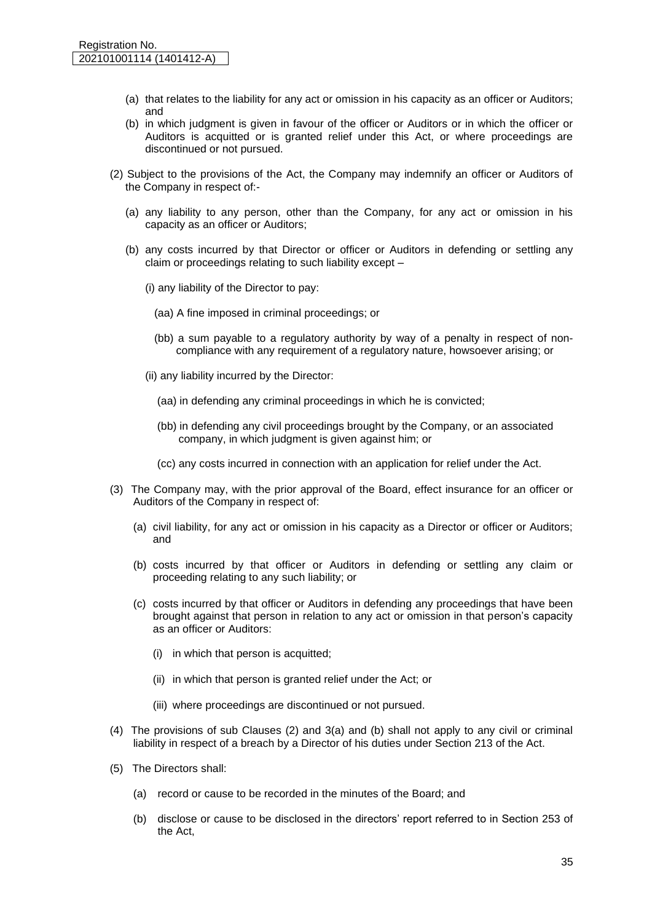- (a) that relates to the liability for any act or omission in his capacity as an officer or Auditors; and
- (b) in which judgment is given in favour of the officer or Auditors or in which the officer or Auditors is acquitted or is granted relief under this Act, or where proceedings are discontinued or not pursued.
- (2) Subject to the provisions of the Act, the Company may indemnify an officer or Auditors of the Company in respect of:-
	- (a) any liability to any person, other than the Company, for any act or omission in his capacity as an officer or Auditors;
	- (b) any costs incurred by that Director or officer or Auditors in defending or settling any claim or proceedings relating to such liability except –
		- (i) any liability of the Director to pay:
			- (aa) A fine imposed in criminal proceedings; or
			- (bb) a sum payable to a regulatory authority by way of a penalty in respect of noncompliance with any requirement of a regulatory nature, howsoever arising; or
		- (ii) any liability incurred by the Director:
			- (aa) in defending any criminal proceedings in which he is convicted;
			- (bb) in defending any civil proceedings brought by the Company, or an associated company, in which judgment is given against him; or
			- (cc) any costs incurred in connection with an application for relief under the Act.
- (3) The Company may, with the prior approval of the Board, effect insurance for an officer or Auditors of the Company in respect of:
	- (a) civil liability, for any act or omission in his capacity as a Director or officer or Auditors; and
	- (b) costs incurred by that officer or Auditors in defending or settling any claim or proceeding relating to any such liability; or
	- (c) costs incurred by that officer or Auditors in defending any proceedings that have been brought against that person in relation to any act or omission in that person's capacity as an officer or Auditors:
		- (i) in which that person is acquitted;
		- (ii) in which that person is granted relief under the Act; or
		- (iii) where proceedings are discontinued or not pursued.
- (4) The provisions of sub Clauses (2) and 3(a) and (b) shall not apply to any civil or criminal liability in respect of a breach by a Director of his duties under Section 213 of the Act.
- (5) The Directors shall:
	- (a) record or cause to be recorded in the minutes of the Board; and
	- (b) disclose or cause to be disclosed in the directors' report referred to in Section 253 of the Act,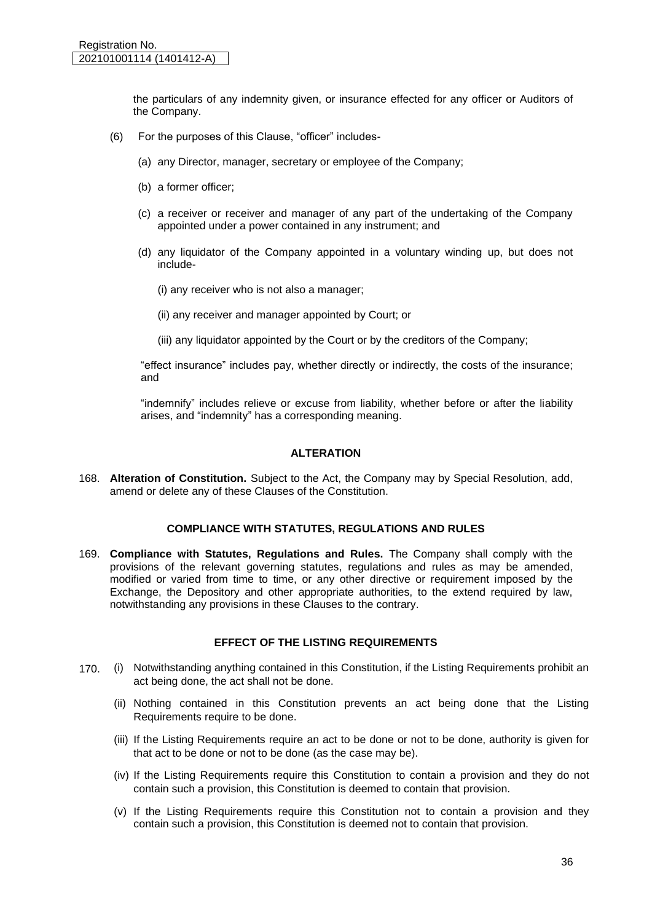the particulars of any indemnity given, or insurance effected for any officer or Auditors of the Company.

- (6) For the purposes of this Clause, "officer" includes-
	- (a) any Director, manager, secretary or employee of the Company;
	- (b) a former officer;
	- (c) a receiver or receiver and manager of any part of the undertaking of the Company appointed under a power contained in any instrument; and
	- (d) any liquidator of the Company appointed in a voluntary winding up, but does not include-
		- (i) any receiver who is not also a manager;
		- (ii) any receiver and manager appointed by Court; or
		- (iii) any liquidator appointed by the Court or by the creditors of the Company;

"effect insurance" includes pay, whether directly or indirectly, the costs of the insurance; and

"indemnify" includes relieve or excuse from liability, whether before or after the liability arises, and "indemnity" has a corresponding meaning.

#### **ALTERATION**

168. **Alteration of Constitution.** Subject to the Act, the Company may by Special Resolution, add, amend or delete any of these Clauses of the Constitution.

# **COMPLIANCE WITH STATUTES, REGULATIONS AND RULES**

169. **Compliance with Statutes, Regulations and Rules.** The Company shall comply with the provisions of the relevant governing statutes, regulations and rules as may be amended, modified or varied from time to time, or any other directive or requirement imposed by the Exchange, the Depository and other appropriate authorities, to the extend required by law, notwithstanding any provisions in these Clauses to the contrary.

# **EFFECT OF THE LISTING REQUIREMENTS**

- 170. (i) Notwithstanding anything contained in this Constitution, if the Listing Requirements prohibit an act being done, the act shall not be done.
	- (ii) Nothing contained in this Constitution prevents an act being done that the Listing Requirements require to be done.
	- (iii) If the Listing Requirements require an act to be done or not to be done, authority is given for that act to be done or not to be done (as the case may be).
	- (iv) If the Listing Requirements require this Constitution to contain a provision and they do not contain such a provision, this Constitution is deemed to contain that provision.
	- (v) If the Listing Requirements require this Constitution not to contain a provision and they contain such a provision, this Constitution is deemed not to contain that provision.